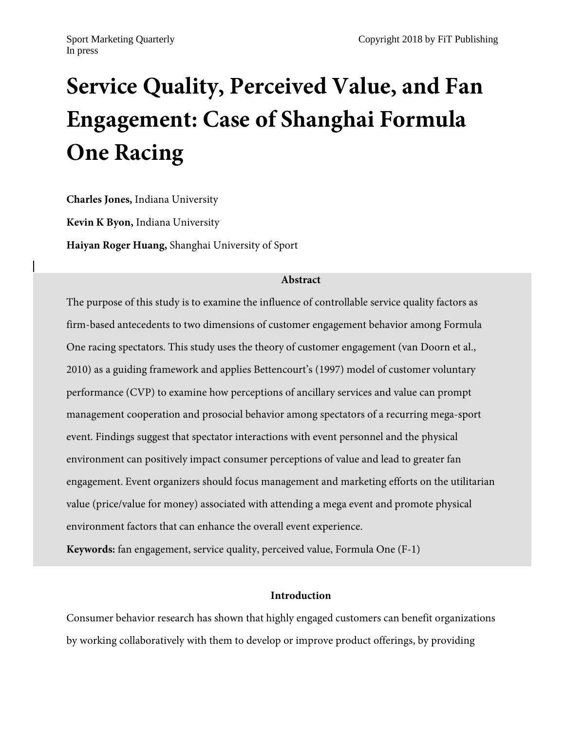# **Service Quality, Perceived Value, and Fan Engagement: Case of Shanghai Formula One Racing**

**Charles Jones,** Indiana University

**Kevin K Byon,** Indiana University

**Haiyan Roger Huang,** Shanghai University of Sport

# **Abstract**

The purpose of this study is to examine the influence of controllable service quality factors as firm-based antecedents to two dimensions of customer engagement behavior among Formula One racing spectators. This study uses the theory of customer engagement (van Doorn et al., 2010) as a guiding framework and applies Bettencourt's (1997) model of customer voluntary performance (CVP) to examine how perceptions of ancillary services and value can prompt management cooperation and prosocial behavior among spectators of a recurring mega-sport event. Findings suggest that spectator interactions with event personnel and the physical environment can positively impact consumer perceptions of value and lead to greater fan engagement. Event organizers should focus management and marketing efforts on the utilitarian value (price/value for money) associated with attending a mega event and promote physical environment factors that can enhance the overall event experience.

**Keywords:** fan engagement, service quality, perceived value, Formula One (F-1)

# **Introduction**

Consumer behavior research has shown that highly engaged customers can benefit organizations by working collaboratively with them to develop or improve product offerings, by providing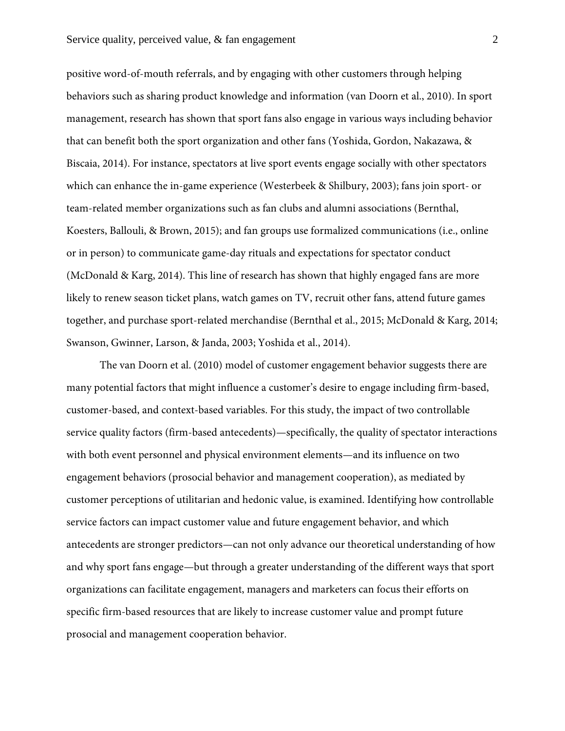#### Service quality, perceived value, & fan engagement 2

positive word-of-mouth referrals, and by engaging with other customers through helping behaviors such as sharing product knowledge and information (van Doorn et al., 2010). In sport management, research has shown that sport fans also engage in various ways including behavior that can benefit both the sport organization and other fans (Yoshida, Gordon, Nakazawa, & Biscaia, 2014). For instance, spectators at live sport events engage socially with other spectators which can enhance the in-game experience (Westerbeek & Shilbury, 2003); fans join sport- or team-related member organizations such as fan clubs and alumni associations (Bernthal, Koesters, Ballouli, & Brown, 2015); and fan groups use formalized communications (i.e., online or in person) to communicate game-day rituals and expectations for spectator conduct (McDonald & Karg, 2014). This line of research has shown that highly engaged fans are more likely to renew season ticket plans, watch games on TV, recruit other fans, attend future games together, and purchase sport-related merchandise (Bernthal et al., 2015; McDonald & Karg, 2014; Swanson, Gwinner, Larson, & Janda, 2003; Yoshida et al., 2014).

The van Doorn et al. (2010) model of customer engagement behavior suggests there are many potential factors that might influence a customer's desire to engage including firm-based, customer-based, and context-based variables. For this study, the impact of two controllable service quality factors (firm-based antecedents)—specifically, the quality of spectator interactions with both event personnel and physical environment elements—and its influence on two engagement behaviors (prosocial behavior and management cooperation), as mediated by customer perceptions of utilitarian and hedonic value, is examined. Identifying how controllable service factors can impact customer value and future engagement behavior, and which antecedents are stronger predictors—can not only advance our theoretical understanding of how and why sport fans engage—but through a greater understanding of the different ways that sport organizations can facilitate engagement, managers and marketers can focus their efforts on specific firm-based resources that are likely to increase customer value and prompt future prosocial and management cooperation behavior.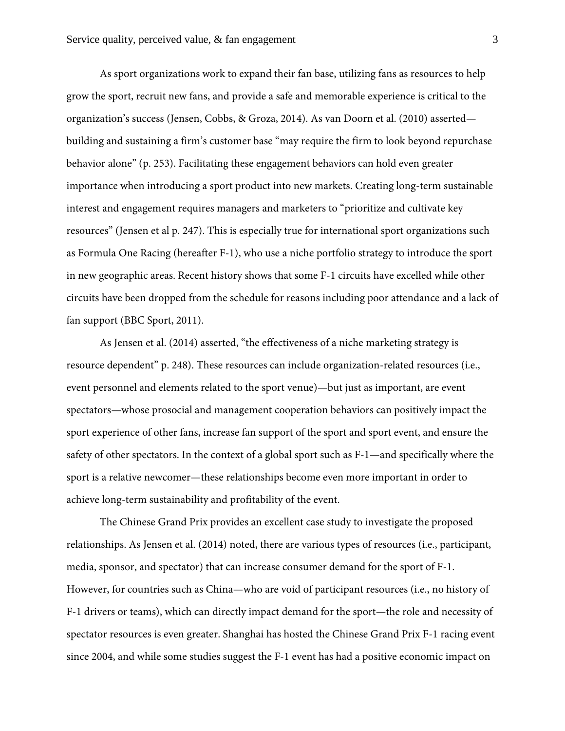As sport organizations work to expand their fan base, utilizing fans as resources to help grow the sport, recruit new fans, and provide a safe and memorable experience is critical to the organization's success (Jensen, Cobbs, & Groza, 2014). As van Doorn et al. (2010) asserted building and sustaining a firm's customer base "may require the firm to look beyond repurchase behavior alone" (p. 253). Facilitating these engagement behaviors can hold even greater importance when introducing a sport product into new markets. Creating long-term sustainable interest and engagement requires managers and marketers to "prioritize and cultivate key resources" (Jensen et al p. 247). This is especially true for international sport organizations such as Formula One Racing (hereafter F-1), who use a niche portfolio strategy to introduce the sport in new geographic areas. Recent history shows that some F-1 circuits have excelled while other circuits have been dropped from the schedule for reasons including poor attendance and a lack of fan support (BBC Sport, 2011).

As Jensen et al. (2014) asserted, "the effectiveness of a niche marketing strategy is resource dependent" p. 248). These resources can include organization-related resources (i.e., event personnel and elements related to the sport venue)—but just as important, are event spectators—whose prosocial and management cooperation behaviors can positively impact the sport experience of other fans, increase fan support of the sport and sport event, and ensure the safety of other spectators. In the context of a global sport such as F-1—and specifically where the sport is a relative newcomer—these relationships become even more important in order to achieve long-term sustainability and profitability of the event.

The Chinese Grand Prix provides an excellent case study to investigate the proposed relationships. As Jensen et al. (2014) noted, there are various types of resources (i.e., participant, media, sponsor, and spectator) that can increase consumer demand for the sport of F-1. However, for countries such as China—who are void of participant resources (i.e., no history of F-1 drivers or teams), which can directly impact demand for the sport—the role and necessity of spectator resources is even greater. Shanghai has hosted the Chinese Grand Prix F-1 racing event since 2004, and while some studies suggest the F-1 event has had a positive economic impact on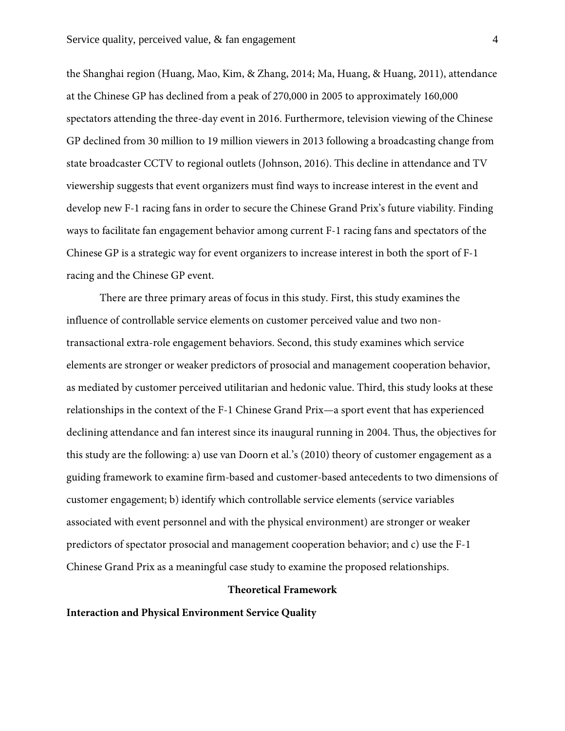the Shanghai region (Huang, Mao, Kim, & Zhang, 2014; Ma, Huang, & Huang, 2011), attendance at the Chinese GP has declined from a peak of 270,000 in 2005 to approximately 160,000 spectators attending the three-day event in 2016. Furthermore, television viewing of the Chinese GP declined from 30 million to 19 million viewers in 2013 following a broadcasting change from state broadcaster CCTV to regional outlets (Johnson, 2016). This decline in attendance and TV viewership suggests that event organizers must find ways to increase interest in the event and develop new F-1 racing fans in order to secure the Chinese Grand Prix's future viability. Finding ways to facilitate fan engagement behavior among current F-1 racing fans and spectators of the Chinese GP is a strategic way for event organizers to increase interest in both the sport of F-1 racing and the Chinese GP event.

There are three primary areas of focus in this study. First, this study examines the influence of controllable service elements on customer perceived value and two nontransactional extra-role engagement behaviors. Second, this study examines which service elements are stronger or weaker predictors of prosocial and management cooperation behavior, as mediated by customer perceived utilitarian and hedonic value. Third, this study looks at these relationships in the context of the F-1 Chinese Grand Prix—a sport event that has experienced declining attendance and fan interest since its inaugural running in 2004. Thus, the objectives for this study are the following: a) use van Doorn et al.'s (2010) theory of customer engagement as a guiding framework to examine firm-based and customer-based antecedents to two dimensions of customer engagement; b) identify which controllable service elements (service variables associated with event personnel and with the physical environment) are stronger or weaker predictors of spectator prosocial and management cooperation behavior; and c) use the F-1 Chinese Grand Prix as a meaningful case study to examine the proposed relationships.

#### **Theoretical Framework**

**Interaction and Physical Environment Service Quality**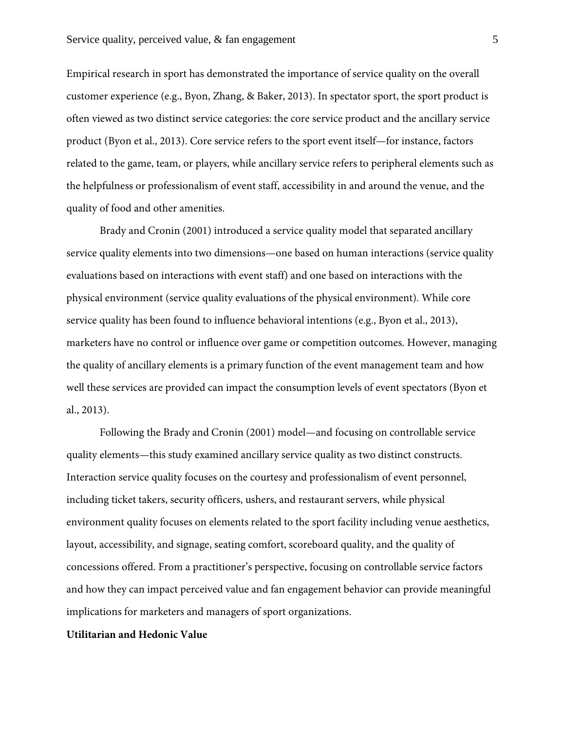Empirical research in sport has demonstrated the importance of service quality on the overall customer experience (e.g., Byon, Zhang, & Baker, 2013). In spectator sport, the sport product is often viewed as two distinct service categories: the core service product and the ancillary service product (Byon et al., 2013). Core service refers to the sport event itself—for instance, factors related to the game, team, or players, while ancillary service refers to peripheral elements such as the helpfulness or professionalism of event staff, accessibility in and around the venue, and the quality of food and other amenities.

Brady and Cronin (2001) introduced a service quality model that separated ancillary service quality elements into two dimensions—one based on human interactions (service quality evaluations based on interactions with event staff) and one based on interactions with the physical environment (service quality evaluations of the physical environment). While core service quality has been found to influence behavioral intentions (e.g., Byon et al., 2013), marketers have no control or influence over game or competition outcomes. However, managing the quality of ancillary elements is a primary function of the event management team and how well these services are provided can impact the consumption levels of event spectators (Byon et al., 2013).

Following the Brady and Cronin (2001) model—and focusing on controllable service quality elements—this study examined ancillary service quality as two distinct constructs. Interaction service quality focuses on the courtesy and professionalism of event personnel, including ticket takers, security officers, ushers, and restaurant servers, while physical environment quality focuses on elements related to the sport facility including venue aesthetics, layout, accessibility, and signage, seating comfort, scoreboard quality, and the quality of concessions offered. From a practitioner's perspective, focusing on controllable service factors and how they can impact perceived value and fan engagement behavior can provide meaningful implications for marketers and managers of sport organizations.

## **Utilitarian and Hedonic Value**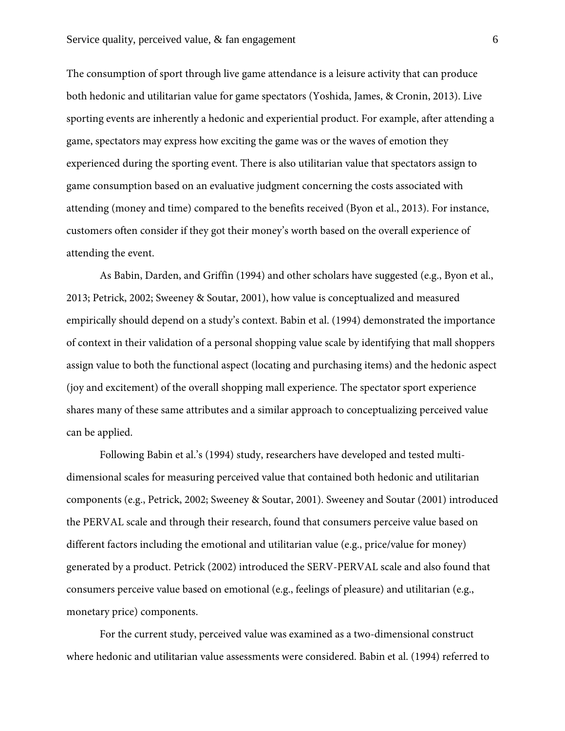The consumption of sport through live game attendance is a leisure activity that can produce both hedonic and utilitarian value for game spectators (Yoshida, James, & Cronin, 2013). Live sporting events are inherently a hedonic and experiential product. For example, after attending a game, spectators may express how exciting the game was or the waves of emotion they experienced during the sporting event. There is also utilitarian value that spectators assign to game consumption based on an evaluative judgment concerning the costs associated with attending (money and time) compared to the benefits received (Byon et al., 2013). For instance, customers often consider if they got their money's worth based on the overall experience of attending the event.

As Babin, Darden, and Griffin (1994) and other scholars have suggested (e.g., Byon et al., 2013; Petrick, 2002; Sweeney & Soutar, 2001), how value is conceptualized and measured empirically should depend on a study's context. Babin et al. (1994) demonstrated the importance of context in their validation of a personal shopping value scale by identifying that mall shoppers assign value to both the functional aspect (locating and purchasing items) and the hedonic aspect (joy and excitement) of the overall shopping mall experience. The spectator sport experience shares many of these same attributes and a similar approach to conceptualizing perceived value can be applied.

Following Babin et al.'s (1994) study, researchers have developed and tested multidimensional scales for measuring perceived value that contained both hedonic and utilitarian components (e.g., Petrick, 2002; Sweeney & Soutar, 2001). Sweeney and Soutar (2001) introduced the PERVAL scale and through their research, found that consumers perceive value based on different factors including the emotional and utilitarian value (e.g., price/value for money) generated by a product. Petrick (2002) introduced the SERV-PERVAL scale and also found that consumers perceive value based on emotional (e.g., feelings of pleasure) and utilitarian (e.g., monetary price) components.

For the current study, perceived value was examined as a two-dimensional construct where hedonic and utilitarian value assessments were considered. Babin et al. (1994) referred to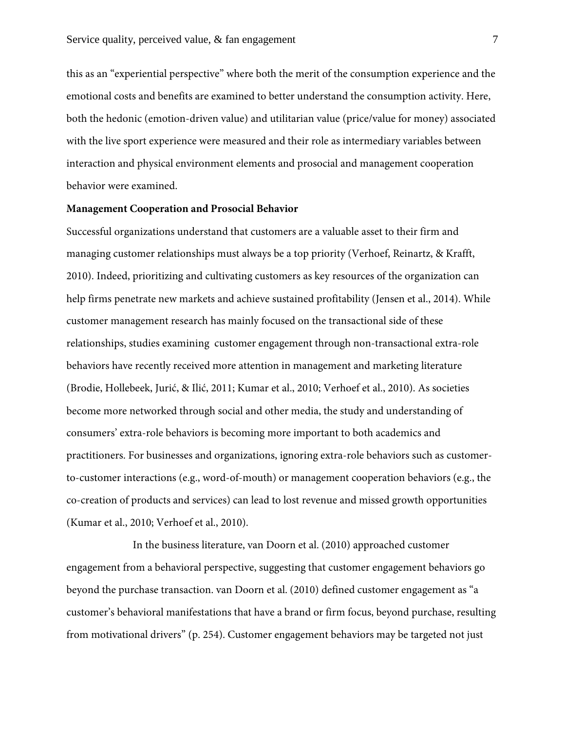this as an "experiential perspective" where both the merit of the consumption experience and the emotional costs and benefits are examined to better understand the consumption activity. Here, both the hedonic (emotion-driven value) and utilitarian value (price/value for money) associated with the live sport experience were measured and their role as intermediary variables between interaction and physical environment elements and prosocial and management cooperation behavior were examined.

#### **Management Cooperation and Prosocial Behavior**

Successful organizations understand that customers are a valuable asset to their firm and managing customer relationships must always be a top priority (Verhoef, Reinartz, & Krafft, 2010). Indeed, prioritizing and cultivating customers as key resources of the organization can help firms penetrate new markets and achieve sustained profitability (Jensen et al., 2014). While customer management research has mainly focused on the transactional side of these relationships, studies examining customer engagement through non-transactional extra-role behaviors have recently received more attention in management and marketing literature (Brodie, Hollebeek, Jurić, & Ilić, 2011; Kumar et al., 2010; Verhoef et al., 2010). As societies become more networked through social and other media, the study and understanding of consumers' extra-role behaviors is becoming more important to both academics and practitioners. For businesses and organizations, ignoring extra-role behaviors such as customerto-customer interactions (e.g., word-of-mouth) or management cooperation behaviors (e.g., the co-creation of products and services) can lead to lost revenue and missed growth opportunities (Kumar et al., 2010; Verhoef et al., 2010).

In the business literature, van Doorn et al. (2010) approached customer engagement from a behavioral perspective, suggesting that customer engagement behaviors go beyond the purchase transaction. van Doorn et al. (2010) defined customer engagement as "a customer's behavioral manifestations that have a brand or firm focus, beyond purchase, resulting from motivational drivers" (p. 254). Customer engagement behaviors may be targeted not just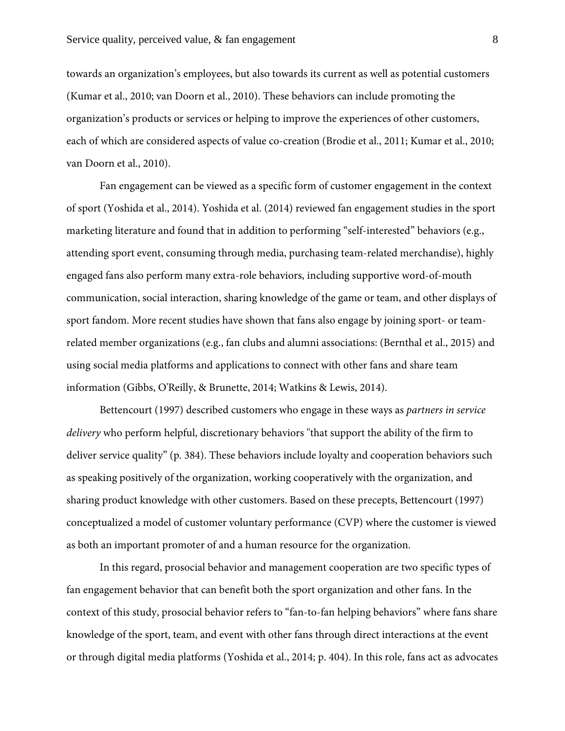towards an organization's employees, but also towards its current as well as potential customers (Kumar et al., 2010; van Doorn et al., 2010). These behaviors can include promoting the organization's products or services or helping to improve the experiences of other customers, each of which are considered aspects of value co-creation (Brodie et al., 2011; Kumar et al., 2010; van Doorn et al., 2010).

Fan engagement can be viewed as a specific form of customer engagement in the context of sport (Yoshida et al., 2014). Yoshida et al. (2014) reviewed fan engagement studies in the sport marketing literature and found that in addition to performing "self-interested" behaviors (e.g., attending sport event, consuming through media, purchasing team-related merchandise), highly engaged fans also perform many extra-role behaviors, including supportive word-of-mouth communication, social interaction, sharing knowledge of the game or team, and other displays of sport fandom. More recent studies have shown that fans also engage by joining sport- or teamrelated member organizations (e.g., fan clubs and alumni associations: (Bernthal et al., 2015) and using social media platforms and applications to connect with other fans and share team information (Gibbs, O'Reilly, & Brunette, 2014; Watkins & Lewis, 2014).

Bettencourt (1997) described customers who engage in these ways as *partners in service delivery* who perform helpful, discretionary behaviors "that support the ability of the firm to deliver service quality" (p. 384). These behaviors include loyalty and cooperation behaviors such as speaking positively of the organization, working cooperatively with the organization, and sharing product knowledge with other customers. Based on these precepts, Bettencourt (1997) conceptualized a model of customer voluntary performance (CVP) where the customer is viewed as both an important promoter of and a human resource for the organization.

In this regard, prosocial behavior and management cooperation are two specific types of fan engagement behavior that can benefit both the sport organization and other fans. In the context of this study, prosocial behavior refers to "fan-to-fan helping behaviors" where fans share knowledge of the sport, team, and event with other fans through direct interactions at the event or through digital media platforms (Yoshida et al., 2014; p. 404). In this role, fans act as advocates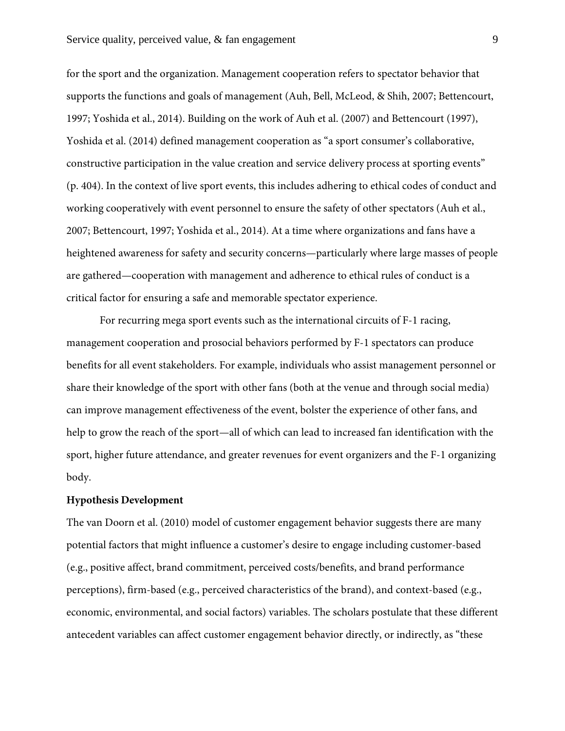for the sport and the organization. Management cooperation refers to spectator behavior that supports the functions and goals of management (Auh, Bell, McLeod, & Shih, 2007; Bettencourt, 1997; Yoshida et al., 2014). Building on the work of Auh et al. (2007) and Bettencourt (1997), Yoshida et al. (2014) defined management cooperation as "a sport consumer's collaborative, constructive participation in the value creation and service delivery process at sporting events" (p. 404). In the context of live sport events, this includes adhering to ethical codes of conduct and working cooperatively with event personnel to ensure the safety of other spectators (Auh et al., 2007; Bettencourt, 1997; Yoshida et al., 2014). At a time where organizations and fans have a heightened awareness for safety and security concerns—particularly where large masses of people are gathered—cooperation with management and adherence to ethical rules of conduct is a critical factor for ensuring a safe and memorable spectator experience.

For recurring mega sport events such as the international circuits of F-1 racing, management cooperation and prosocial behaviors performed by F-1 spectators can produce benefits for all event stakeholders. For example, individuals who assist management personnel or share their knowledge of the sport with other fans (both at the venue and through social media) can improve management effectiveness of the event, bolster the experience of other fans, and help to grow the reach of the sport—all of which can lead to increased fan identification with the sport, higher future attendance, and greater revenues for event organizers and the F-1 organizing body.

#### **Hypothesis Development**

The van Doorn et al. (2010) model of customer engagement behavior suggests there are many potential factors that might influence a customer's desire to engage including customer-based (e.g., positive affect, brand commitment, perceived costs/benefits, and brand performance perceptions), firm-based (e.g., perceived characteristics of the brand), and context-based (e.g., economic, environmental, and social factors) variables. The scholars postulate that these different antecedent variables can affect customer engagement behavior directly, or indirectly, as "these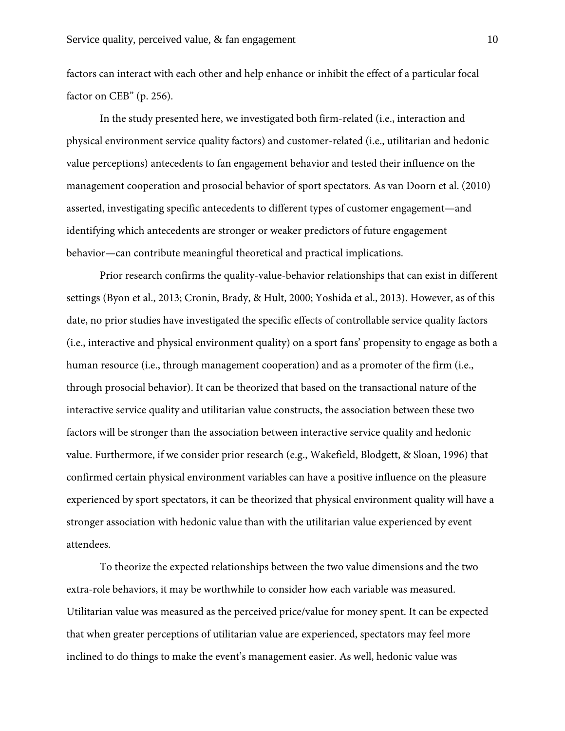factors can interact with each other and help enhance or inhibit the effect of a particular focal factor on CEB" (p. 256).

In the study presented here, we investigated both firm-related (i.e., interaction and physical environment service quality factors) and customer-related (i.e., utilitarian and hedonic value perceptions) antecedents to fan engagement behavior and tested their influence on the management cooperation and prosocial behavior of sport spectators. As van Doorn et al. (2010) asserted, investigating specific antecedents to different types of customer engagement—and identifying which antecedents are stronger or weaker predictors of future engagement behavior—can contribute meaningful theoretical and practical implications.

Prior research confirms the quality-value-behavior relationships that can exist in different settings (Byon et al., 2013; Cronin, Brady, & Hult, 2000; Yoshida et al., 2013). However, as of this date, no prior studies have investigated the specific effects of controllable service quality factors (i.e., interactive and physical environment quality) on a sport fans' propensity to engage as both a human resource (i.e., through management cooperation) and as a promoter of the firm (i.e., through prosocial behavior). It can be theorized that based on the transactional nature of the interactive service quality and utilitarian value constructs, the association between these two factors will be stronger than the association between interactive service quality and hedonic value. Furthermore, if we consider prior research (e.g., Wakefield, Blodgett, & Sloan, 1996) that confirmed certain physical environment variables can have a positive influence on the pleasure experienced by sport spectators, it can be theorized that physical environment quality will have a stronger association with hedonic value than with the utilitarian value experienced by event attendees.

To theorize the expected relationships between the two value dimensions and the two extra-role behaviors, it may be worthwhile to consider how each variable was measured. Utilitarian value was measured as the perceived price/value for money spent. It can be expected that when greater perceptions of utilitarian value are experienced, spectators may feel more inclined to do things to make the event's management easier. As well, hedonic value was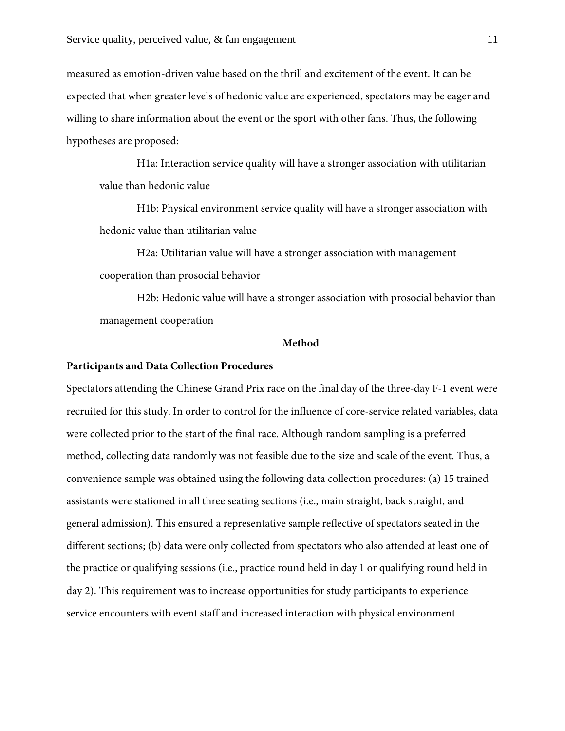measured as emotion-driven value based on the thrill and excitement of the event. It can be expected that when greater levels of hedonic value are experienced, spectators may be eager and willing to share information about the event or the sport with other fans. Thus, the following hypotheses are proposed:

H1a: Interaction service quality will have a stronger association with utilitarian value than hedonic value

H1b: Physical environment service quality will have a stronger association with hedonic value than utilitarian value

H2a: Utilitarian value will have a stronger association with management cooperation than prosocial behavior

H2b: Hedonic value will have a stronger association with prosocial behavior than management cooperation

#### **Method**

#### **Participants and Data Collection Procedures**

Spectators attending the Chinese Grand Prix race on the final day of the three-day F-1 event were recruited for this study. In order to control for the influence of core-service related variables, data were collected prior to the start of the final race. Although random sampling is a preferred method, collecting data randomly was not feasible due to the size and scale of the event. Thus, a convenience sample was obtained using the following data collection procedures: (a) 15 trained assistants were stationed in all three seating sections (i.e., main straight, back straight, and general admission). This ensured a representative sample reflective of spectators seated in the different sections; (b) data were only collected from spectators who also attended at least one of the practice or qualifying sessions (i.e., practice round held in day 1 or qualifying round held in day 2). This requirement was to increase opportunities for study participants to experience service encounters with event staff and increased interaction with physical environment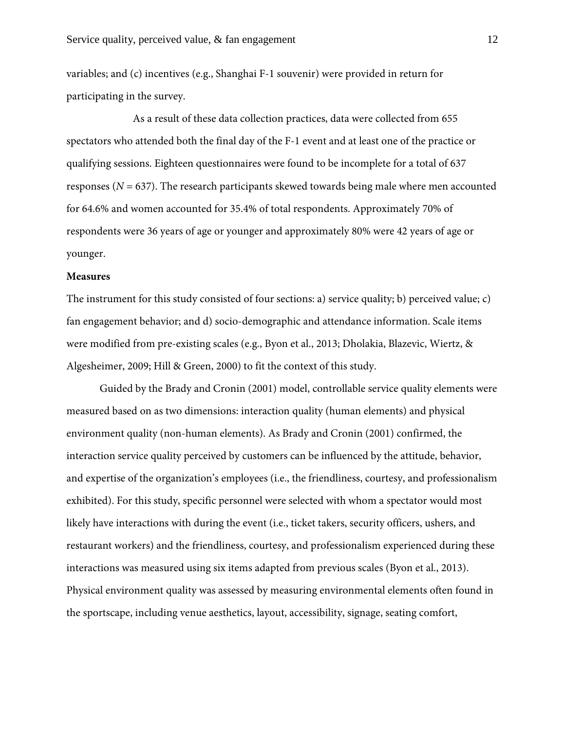variables; and (c) incentives (e.g., Shanghai F-1 souvenir) were provided in return for participating in the survey.

As a result of these data collection practices, data were collected from 655 spectators who attended both the final day of the F-1 event and at least one of the practice or qualifying sessions. Eighteen questionnaires were found to be incomplete for a total of 637 responses (*N* = 637). The research participants skewed towards being male where men accounted for 64.6% and women accounted for 35.4% of total respondents. Approximately 70% of respondents were 36 years of age or younger and approximately 80% were 42 years of age or younger.

#### **Measures**

The instrument for this study consisted of four sections: a) service quality; b) perceived value; c) fan engagement behavior; and d) socio-demographic and attendance information. Scale items were modified from pre-existing scales (e.g., Byon et al., 2013; Dholakia, Blazevic, Wiertz, & Algesheimer, 2009; Hill & Green, 2000) to fit the context of this study.

Guided by the Brady and Cronin (2001) model, controllable service quality elements were measured based on as two dimensions: interaction quality (human elements) and physical environment quality (non-human elements). As Brady and Cronin (2001) confirmed, the interaction service quality perceived by customers can be influenced by the attitude, behavior, and expertise of the organization's employees (i.e., the friendliness, courtesy, and professionalism exhibited). For this study, specific personnel were selected with whom a spectator would most likely have interactions with during the event (i.e., ticket takers, security officers, ushers, and restaurant workers) and the friendliness, courtesy, and professionalism experienced during these interactions was measured using six items adapted from previous scales (Byon et al., 2013). Physical environment quality was assessed by measuring environmental elements often found in the sportscape, including venue aesthetics, layout, accessibility, signage, seating comfort,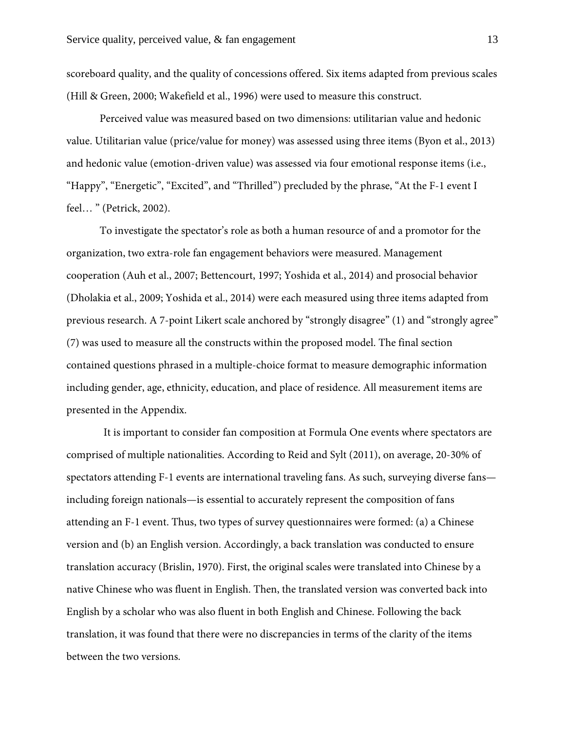scoreboard quality, and the quality of concessions offered. Six items adapted from previous scales (Hill & Green, 2000; Wakefield et al., 1996) were used to measure this construct.

Perceived value was measured based on two dimensions: utilitarian value and hedonic value. Utilitarian value (price/value for money) was assessed using three items (Byon et al., 2013) and hedonic value (emotion-driven value) was assessed via four emotional response items (i.e., "Happy", "Energetic", "Excited", and "Thrilled") precluded by the phrase, "At the F-1 event I feel… " (Petrick, 2002).

To investigate the spectator's role as both a human resource of and a promotor for the organization, two extra-role fan engagement behaviors were measured. Management cooperation (Auh et al., 2007; Bettencourt, 1997; Yoshida et al., 2014) and prosocial behavior (Dholakia et al., 2009; Yoshida et al., 2014) were each measured using three items adapted from previous research. A 7-point Likert scale anchored by "strongly disagree" (1) and "strongly agree" (7) was used to measure all the constructs within the proposed model. The final section contained questions phrased in a multiple-choice format to measure demographic information including gender, age, ethnicity, education, and place of residence. All measurement items are presented in the Appendix.

It is important to consider fan composition at Formula One events where spectators are comprised of multiple nationalities. According to Reid and Sylt (2011), on average, 20-30% of spectators attending F-1 events are international traveling fans. As such, surveying diverse fans including foreign nationals—is essential to accurately represent the composition of fans attending an F-1 event. Thus, two types of survey questionnaires were formed: (a) a Chinese version and (b) an English version. Accordingly, a back translation was conducted to ensure translation accuracy (Brislin, 1970). First, the original scales were translated into Chinese by a native Chinese who was fluent in English. Then, the translated version was converted back into English by a scholar who was also fluent in both English and Chinese. Following the back translation, it was found that there were no discrepancies in terms of the clarity of the items between the two versions.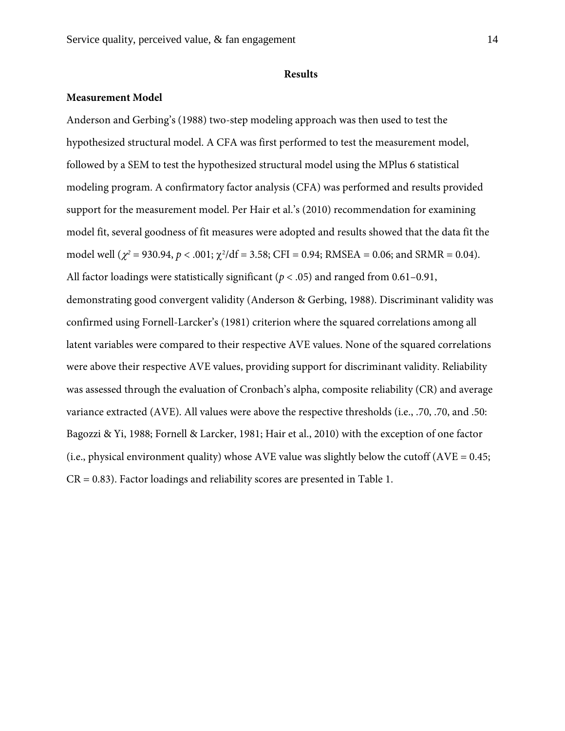#### **Results**

## **Measurement Model**

Anderson and Gerbing's (1988) two-step modeling approach was then used to test the hypothesized structural model. A CFA was first performed to test the measurement model, followed by a SEM to test the hypothesized structural model using the MPlus 6 statistical modeling program. A confirmatory factor analysis (CFA) was performed and results provided support for the measurement model. Per Hair et al.'s (2010) recommendation for examining model fit, several goodness of fit measures were adopted and results showed that the data fit the model well  $(\chi^2 = 930.94, p < .001; \chi^2/df = 3.58; CFI = 0.94; RMSEA = 0.06; and SRMR = 0.04).$ All factor loadings were statistically significant ( $p < .05$ ) and ranged from 0.61–0.91, demonstrating good convergent validity (Anderson & Gerbing, 1988). Discriminant validity was confirmed using Fornell-Larcker's (1981) criterion where the squared correlations among all latent variables were compared to their respective AVE values. None of the squared correlations were above their respective AVE values, providing support for discriminant validity. Reliability was assessed through the evaluation of Cronbach's alpha, composite reliability (CR) and average variance extracted (AVE). All values were above the respective thresholds (i.e., .70, .70, and .50: Bagozzi & Yi, 1988; Fornell & Larcker, 1981; Hair et al., 2010) with the exception of one factor (i.e., physical environment quality) whose AVE value was slightly below the cutoff (AVE = 0.45;  $CR = 0.83$ ). Factor loadings and reliability scores are presented in Table 1.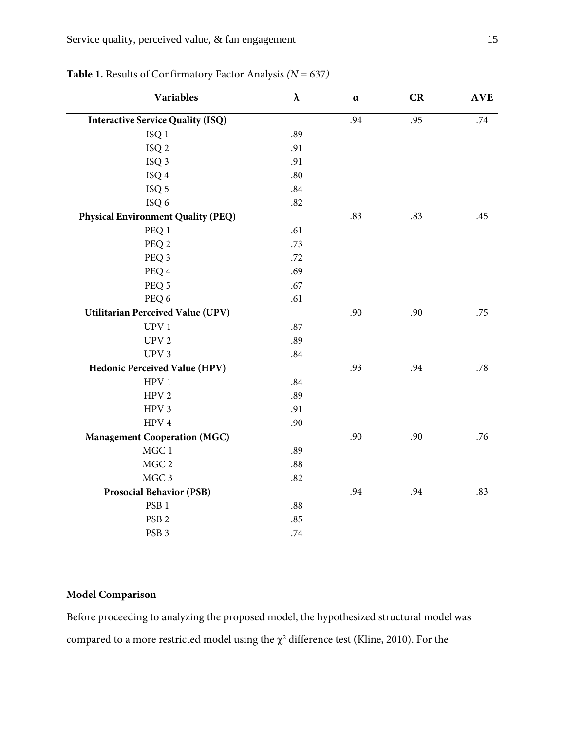| <b>Variables</b>                          | $\pmb{\lambda}$ | $\alpha$ | CR  | <b>AVE</b> |
|-------------------------------------------|-----------------|----------|-----|------------|
| <b>Interactive Service Quality (ISQ)</b>  |                 | .94      | .95 | $.74\,$    |
| ISQ <sub>1</sub>                          | .89             |          |     |            |
| ISQ <sub>2</sub>                          | .91             |          |     |            |
| ISQ <sub>3</sub>                          | .91             |          |     |            |
| ISQ 4                                     | .80             |          |     |            |
| ISQ <sub>5</sub>                          | .84             |          |     |            |
| ISQ 6                                     | .82             |          |     |            |
| <b>Physical Environment Quality (PEQ)</b> |                 | .83      | .83 | .45        |
| PEQ 1                                     | .61             |          |     |            |
| PEQ 2                                     | .73             |          |     |            |
| PEQ 3                                     | .72             |          |     |            |
| PEQ 4                                     | .69             |          |     |            |
| PEQ 5                                     | .67             |          |     |            |
| PEQ 6                                     | .61             |          |     |            |
| Utilitarian Perceived Value (UPV)         |                 | .90      | .90 | .75        |
| UPV <sub>1</sub>                          | .87             |          |     |            |
| UPV <sub>2</sub>                          | .89             |          |     |            |
| UPV <sub>3</sub>                          | .84             |          |     |            |
| <b>Hedonic Perceived Value (HPV)</b>      |                 | .93      | .94 | .78        |
| ${\rm HPV}$ 1                             | .84             |          |     |            |
| HPV <sub>2</sub>                          | .89             |          |     |            |
| HPV <sub>3</sub>                          | .91             |          |     |            |
| HPV <sub>4</sub>                          | .90             |          |     |            |
| <b>Management Cooperation (MGC)</b>       |                 | .90      | .90 | .76        |
| MGC 1                                     | .89             |          |     |            |
| MGC 2                                     | .88             |          |     |            |
| MGC 3                                     | .82             |          |     |            |
| <b>Prosocial Behavior (PSB)</b>           |                 | .94      | .94 | .83        |
| PSB <sub>1</sub>                          | .88             |          |     |            |
| PSB <sub>2</sub>                          | .85             |          |     |            |
| PSB <sub>3</sub>                          | $.74\,$         |          |     |            |

**Table 1.** Results of Confirmatory Factor Analysis *(N* = 637*)*

# **Model Comparison**

Before proceeding to analyzing the proposed model, the hypothesized structural model was compared to a more restricted model using the  $\chi^2$  difference test (Kline, 2010). For the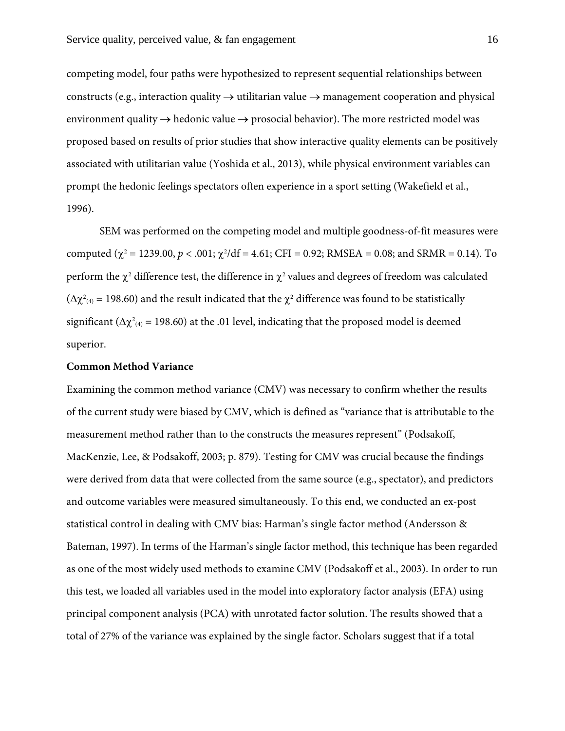competing model, four paths were hypothesized to represent sequential relationships between constructs (e.g., interaction quality  $\rightarrow$  utilitarian value  $\rightarrow$  management cooperation and physical environment quality  $\rightarrow$  hedonic value  $\rightarrow$  prosocial behavior). The more restricted model was proposed based on results of prior studies that show interactive quality elements can be positively associated with utilitarian value (Yoshida et al., 2013), while physical environment variables can prompt the hedonic feelings spectators often experience in a sport setting (Wakefield et al., 1996).

SEM was performed on the competing model and multiple goodness-of-fit measures were computed ( $\chi^2$  = 1239.00,  $p < .001$ ;  $\chi^2/df = 4.61$ ; CFI = 0.92; RMSEA = 0.08; and SRMR = 0.14). To perform the  $\chi^2$  difference test, the difference in  $\chi^2$  values and degrees of freedom was calculated  $(\Delta \chi^2)_{(4)} = 198.60$  and the result indicated that the  $\chi^2$  difference was found to be statistically significant ( $\Delta \chi^2$ <sub>(4)</sub> = 198.60) at the .01 level, indicating that the proposed model is deemed superior.

#### **Common Method Variance**

Examining the common method variance (CMV) was necessary to confirm whether the results of the current study were biased by CMV, which is defined as "variance that is attributable to the measurement method rather than to the constructs the measures represent" (Podsakoff, MacKenzie, Lee, & Podsakoff, 2003; p. 879). Testing for CMV was crucial because the findings were derived from data that were collected from the same source (e.g., spectator), and predictors and outcome variables were measured simultaneously. To this end, we conducted an ex-post statistical control in dealing with CMV bias: Harman's single factor method (Andersson & Bateman, 1997). In terms of the Harman's single factor method, this technique has been regarded as one of the most widely used methods to examine CMV (Podsakoff et al., 2003). In order to run this test, we loaded all variables used in the model into exploratory factor analysis (EFA) using principal component analysis (PCA) with unrotated factor solution. The results showed that a total of 27% of the variance was explained by the single factor. Scholars suggest that if a total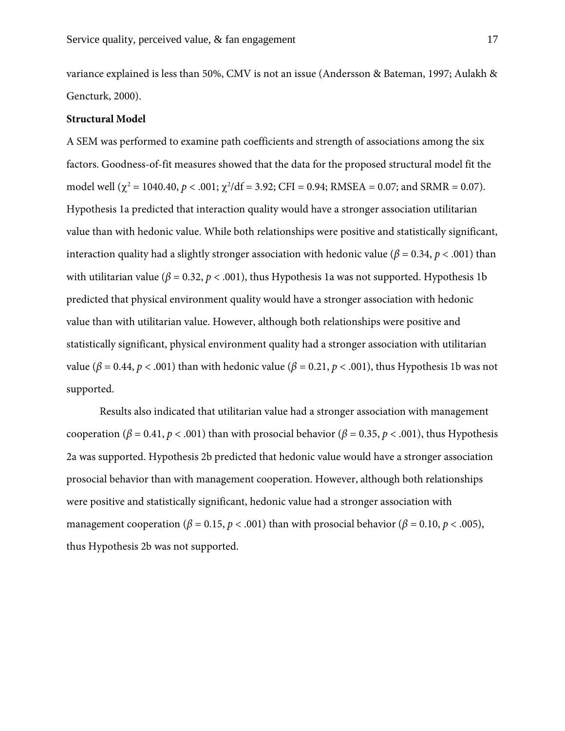variance explained is less than 50%, CMV is not an issue (Andersson & Bateman, 1997; Aulakh & Gencturk, 2000).

#### **Structural Model**

A SEM was performed to examine path coefficients and strength of associations among the six factors. Goodness-of-fit measures showed that the data for the proposed structural model fit the model well ( $\chi^2$  = 1040.40,  $p < .001$ ;  $\chi^2$ /df = 3.92; CFI = 0.94; RMSEA = 0.07; and SRMR = 0.07). Hypothesis 1a predicted that interaction quality would have a stronger association utilitarian value than with hedonic value. While both relationships were positive and statistically significant, interaction quality had a slightly stronger association with hedonic value ( $\beta$  = 0.34,  $p$  < .001) than with utilitarian value ( $\beta$  = 0.32,  $p$  < .001), thus Hypothesis 1a was not supported. Hypothesis 1b predicted that physical environment quality would have a stronger association with hedonic value than with utilitarian value. However, although both relationships were positive and statistically significant, physical environment quality had a stronger association with utilitarian value ( $β = 0.44$ ,  $p < .001$ ) than with hedonic value ( $β = 0.21$ ,  $p < .001$ ), thus Hypothesis 1b was not supported.

Results also indicated that utilitarian value had a stronger association with management cooperation ( $β = 0.41, p < .001$ ) than with prosocial behavior ( $β = 0.35, p < .001$ ), thus Hypothesis 2a was supported. Hypothesis 2b predicted that hedonic value would have a stronger association prosocial behavior than with management cooperation. However, although both relationships were positive and statistically significant, hedonic value had a stronger association with management cooperation ( $\beta$  = 0.15,  $p$  < .001) than with prosocial behavior ( $\beta$  = 0.10,  $p$  < .005), thus Hypothesis 2b was not supported.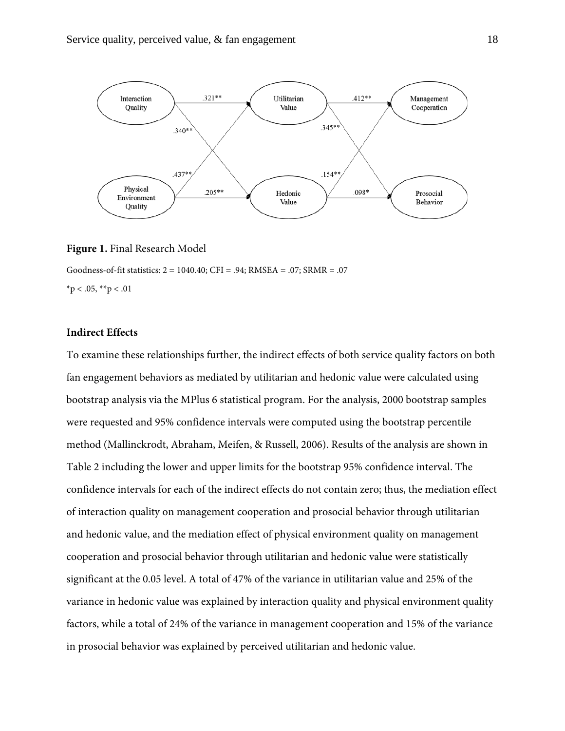

#### **Figure 1.** Final Research Model

Goodness-of-fit statistics: 2 = 1040.40; CFI = .94; RMSEA = .07; SRMR = .07  $*$ p < .05,  $*$  $*$ p < .01

#### **Indirect Effects**

To examine these relationships further, the indirect effects of both service quality factors on both fan engagement behaviors as mediated by utilitarian and hedonic value were calculated using bootstrap analysis via the MPlus 6 statistical program. For the analysis, 2000 bootstrap samples were requested and 95% confidence intervals were computed using the bootstrap percentile method (Mallinckrodt, Abraham, Meifen, & Russell, 2006). Results of the analysis are shown in Table 2 including the lower and upper limits for the bootstrap 95% confidence interval. The confidence intervals for each of the indirect effects do not contain zero; thus, the mediation effect of interaction quality on management cooperation and prosocial behavior through utilitarian and hedonic value, and the mediation effect of physical environment quality on management cooperation and prosocial behavior through utilitarian and hedonic value were statistically significant at the 0.05 level. A total of 47% of the variance in utilitarian value and 25% of the variance in hedonic value was explained by interaction quality and physical environment quality factors, while a total of 24% of the variance in management cooperation and 15% of the variance in prosocial behavior was explained by perceived utilitarian and hedonic value.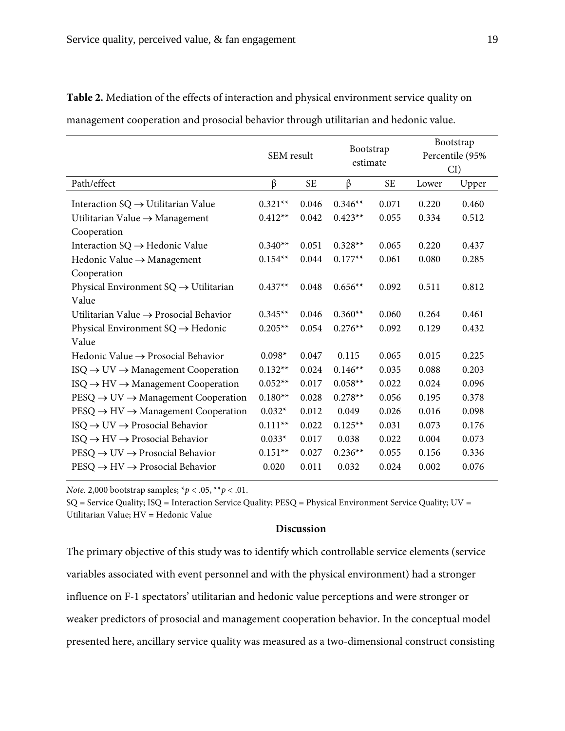|                                                             | SEM result |           | Bootstrap<br>estimate |           |       | Bootstrap<br>Percentile (95% |
|-------------------------------------------------------------|------------|-----------|-----------------------|-----------|-------|------------------------------|
|                                                             |            |           |                       |           |       | $CI$ )                       |
| Path/effect                                                 | β          | <b>SE</b> | $\beta$               | <b>SE</b> | Lower | Upper                        |
| Interaction $SQ \rightarrow U$ tilitarian Value             | $0.321**$  | 0.046     | $0.346**$             | 0.071     | 0.220 | 0.460                        |
| Utilitarian Value $\rightarrow$ Management                  | $0.412**$  | 0.042     | $0.423**$             | 0.055     | 0.334 | 0.512                        |
| Cooperation                                                 |            |           |                       |           |       |                              |
| Interaction $SQ \rightarrow Hedonic$ Value                  | $0.340**$  | 0.051     | $0.328**$             | 0.065     | 0.220 | 0.437                        |
| Hedonic Value → Management                                  | $0.154**$  | 0.044     | $0.177**$             | 0.061     | 0.080 | 0.285                        |
| Cooperation                                                 |            |           |                       |           |       |                              |
| Physical Environment $SQ \rightarrow U$ tilitarian          | $0.437**$  | 0.048     | $0.656**$             | 0.092     | 0.511 | 0.812                        |
| Value                                                       |            |           |                       |           |       |                              |
| Utilitarian Value $\rightarrow$ Prosocial Behavior          | $0.345**$  | 0.046     | $0.360**$             | 0.060     | 0.264 | 0.461                        |
| Physical Environment $SQ \rightarrow Hedonic$               | $0.205**$  | 0.054     | $0.276**$             | 0.092     | 0.129 | 0.432                        |
| Value                                                       |            |           |                       |           |       |                              |
| Hedonic Value $\rightarrow$ Prosocial Behavior              | $0.098*$   | 0.047     | 0.115                 | 0.065     | 0.015 | 0.225                        |
| $ISO \rightarrow UV \rightarrow$ Management Cooperation     | $0.132**$  | 0.024     | $0.146**$             | 0.035     | 0.088 | 0.203                        |
| $ISO \rightarrow HV \rightarrow Management Cooperation$     | $0.052**$  | 0.017     | $0.058**$             | 0.022     | 0.024 | 0.096                        |
| $PESQ \rightarrow UV \rightarrow$ Management Cooperation    | $0.180**$  | 0.028     | $0.278**$             | 0.056     | 0.195 | 0.378                        |
| $PESQ \rightarrow HV \rightarrow Management Cooperation$    | $0.032*$   | 0.012     | 0.049                 | 0.026     | 0.016 | 0.098                        |
| $ISO \rightarrow UV \rightarrow \text{Prosocial Behavior}$  | $0.111**$  | 0.022     | $0.125**$             | 0.031     | 0.073 | 0.176                        |
| $ISO \rightarrow HV \rightarrow \text{Prosocial Behavior}$  | $0.033*$   | 0.017     | 0.038                 | 0.022     | 0.004 | 0.073                        |
| $PESQ \rightarrow UV \rightarrow \text{Prosocial Behavior}$ | $0.151**$  | 0.027     | $0.236**$             | 0.055     | 0.156 | 0.336                        |
| $PESQ \rightarrow HV \rightarrow \text{Prosocial Behavior}$ | 0.020      | 0.011     | 0.032                 | 0.024     | 0.002 | 0.076                        |

**Table 2.** Mediation of the effects of interaction and physical environment service quality on management cooperation and prosocial behavior through utilitarian and hedonic value.

*Note.* 2,000 bootstrap samples; \**p* < .05, \*\**p* < .01.

SQ = Service Quality; ISQ = Interaction Service Quality; PESQ = Physical Environment Service Quality; UV = Utilitarian Value; HV = Hedonic Value

## **Discussion**

The primary objective of this study was to identify which controllable service elements (service variables associated with event personnel and with the physical environment) had a stronger influence on F-1 spectators' utilitarian and hedonic value perceptions and were stronger or weaker predictors of prosocial and management cooperation behavior. In the conceptual model presented here, ancillary service quality was measured as a two-dimensional construct consisting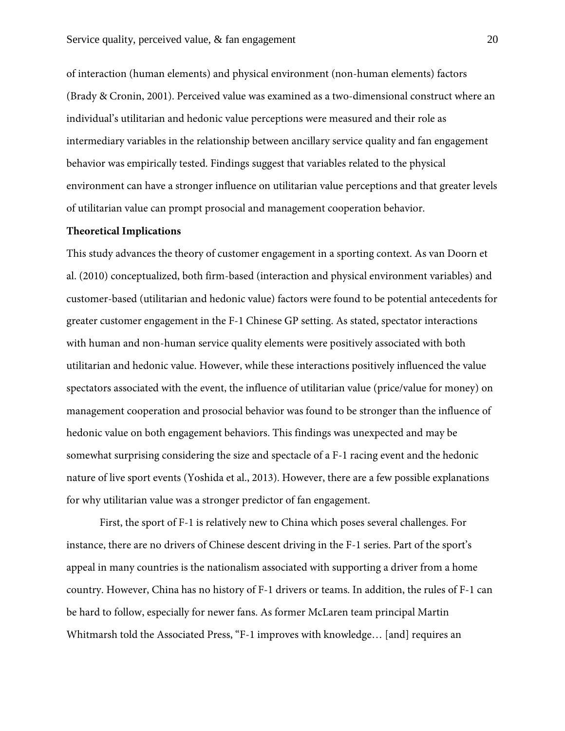of interaction (human elements) and physical environment (non-human elements) factors (Brady & Cronin, 2001). Perceived value was examined as a two-dimensional construct where an individual's utilitarian and hedonic value perceptions were measured and their role as intermediary variables in the relationship between ancillary service quality and fan engagement behavior was empirically tested. Findings suggest that variables related to the physical environment can have a stronger influence on utilitarian value perceptions and that greater levels of utilitarian value can prompt prosocial and management cooperation behavior.

#### **Theoretical Implications**

This study advances the theory of customer engagement in a sporting context. As van Doorn et al. (2010) conceptualized, both firm-based (interaction and physical environment variables) and customer-based (utilitarian and hedonic value) factors were found to be potential antecedents for greater customer engagement in the F-1 Chinese GP setting. As stated, spectator interactions with human and non-human service quality elements were positively associated with both utilitarian and hedonic value. However, while these interactions positively influenced the value spectators associated with the event, the influence of utilitarian value (price/value for money) on management cooperation and prosocial behavior was found to be stronger than the influence of hedonic value on both engagement behaviors. This findings was unexpected and may be somewhat surprising considering the size and spectacle of a F-1 racing event and the hedonic nature of live sport events (Yoshida et al., 2013). However, there are a few possible explanations for why utilitarian value was a stronger predictor of fan engagement.

First, the sport of F-1 is relatively new to China which poses several challenges. For instance, there are no drivers of Chinese descent driving in the F-1 series. Part of the sport's appeal in many countries is the nationalism associated with supporting a driver from a home country. However, China has no history of F-1 drivers or teams. In addition, the rules of F-1 can be hard to follow, especially for newer fans. As former McLaren team principal Martin Whitmarsh told the Associated Press, "F-1 improves with knowledge… [and] requires an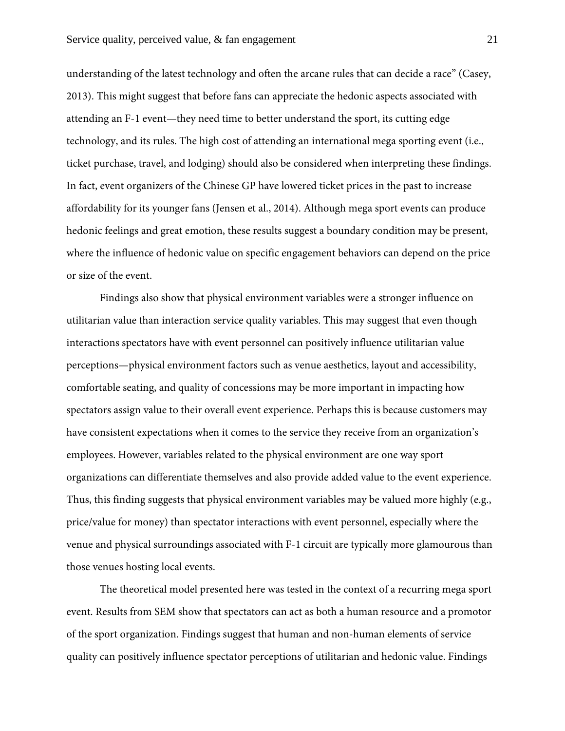understanding of the latest technology and often the arcane rules that can decide a race" (Casey, 2013). This might suggest that before fans can appreciate the hedonic aspects associated with attending an F-1 event—they need time to better understand the sport, its cutting edge technology, and its rules. The high cost of attending an international mega sporting event (i.e., ticket purchase, travel, and lodging) should also be considered when interpreting these findings. In fact, event organizers of the Chinese GP have lowered ticket prices in the past to increase affordability for its younger fans (Jensen et al., 2014). Although mega sport events can produce hedonic feelings and great emotion, these results suggest a boundary condition may be present, where the influence of hedonic value on specific engagement behaviors can depend on the price or size of the event.

Findings also show that physical environment variables were a stronger influence on utilitarian value than interaction service quality variables. This may suggest that even though interactions spectators have with event personnel can positively influence utilitarian value perceptions—physical environment factors such as venue aesthetics, layout and accessibility, comfortable seating, and quality of concessions may be more important in impacting how spectators assign value to their overall event experience. Perhaps this is because customers may have consistent expectations when it comes to the service they receive from an organization's employees. However, variables related to the physical environment are one way sport organizations can differentiate themselves and also provide added value to the event experience. Thus, this finding suggests that physical environment variables may be valued more highly (e.g., price/value for money) than spectator interactions with event personnel, especially where the venue and physical surroundings associated with F-1 circuit are typically more glamourous than those venues hosting local events.

The theoretical model presented here was tested in the context of a recurring mega sport event. Results from SEM show that spectators can act as both a human resource and a promotor of the sport organization. Findings suggest that human and non-human elements of service quality can positively influence spectator perceptions of utilitarian and hedonic value. Findings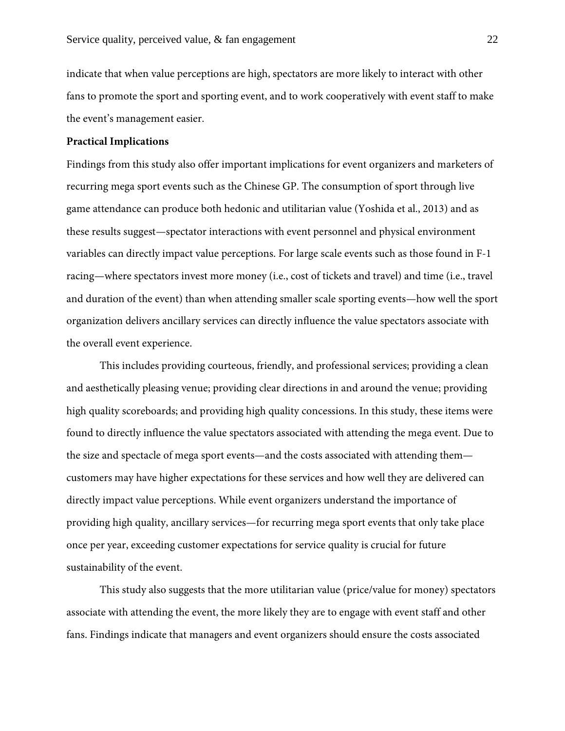indicate that when value perceptions are high, spectators are more likely to interact with other fans to promote the sport and sporting event, and to work cooperatively with event staff to make the event's management easier.

## **Practical Implications**

Findings from this study also offer important implications for event organizers and marketers of recurring mega sport events such as the Chinese GP. The consumption of sport through live game attendance can produce both hedonic and utilitarian value (Yoshida et al., 2013) and as these results suggest—spectator interactions with event personnel and physical environment variables can directly impact value perceptions. For large scale events such as those found in F-1 racing—where spectators invest more money (i.e., cost of tickets and travel) and time (i.e., travel and duration of the event) than when attending smaller scale sporting events—how well the sport organization delivers ancillary services can directly influence the value spectators associate with the overall event experience.

This includes providing courteous, friendly, and professional services; providing a clean and aesthetically pleasing venue; providing clear directions in and around the venue; providing high quality scoreboards; and providing high quality concessions. In this study, these items were found to directly influence the value spectators associated with attending the mega event. Due to the size and spectacle of mega sport events—and the costs associated with attending them customers may have higher expectations for these services and how well they are delivered can directly impact value perceptions. While event organizers understand the importance of providing high quality, ancillary services—for recurring mega sport events that only take place once per year, exceeding customer expectations for service quality is crucial for future sustainability of the event.

This study also suggests that the more utilitarian value (price/value for money) spectators associate with attending the event, the more likely they are to engage with event staff and other fans. Findings indicate that managers and event organizers should ensure the costs associated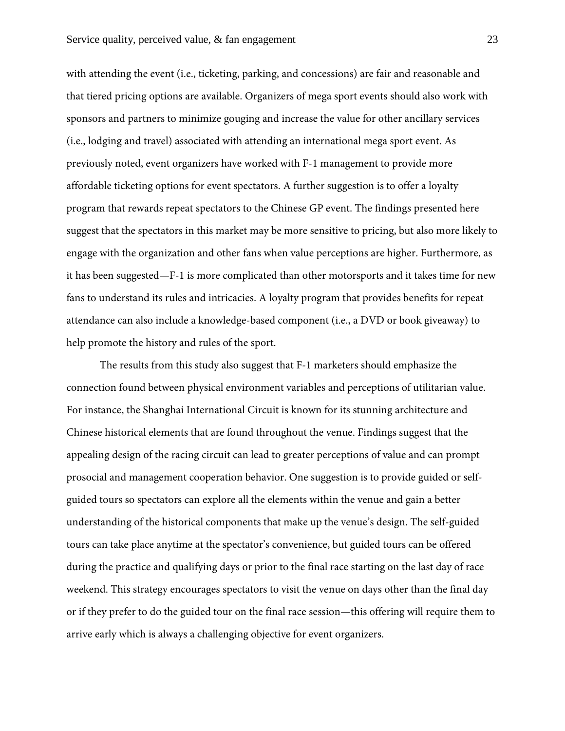with attending the event (i.e., ticketing, parking, and concessions) are fair and reasonable and that tiered pricing options are available. Organizers of mega sport events should also work with sponsors and partners to minimize gouging and increase the value for other ancillary services (i.e., lodging and travel) associated with attending an international mega sport event. As previously noted, event organizers have worked with F-1 management to provide more affordable ticketing options for event spectators. A further suggestion is to offer a loyalty program that rewards repeat spectators to the Chinese GP event. The findings presented here suggest that the spectators in this market may be more sensitive to pricing, but also more likely to engage with the organization and other fans when value perceptions are higher. Furthermore, as it has been suggested—F-1 is more complicated than other motorsports and it takes time for new fans to understand its rules and intricacies. A loyalty program that provides benefits for repeat attendance can also include a knowledge-based component (i.e., a DVD or book giveaway) to help promote the history and rules of the sport.

The results from this study also suggest that F-1 marketers should emphasize the connection found between physical environment variables and perceptions of utilitarian value. For instance, the Shanghai International Circuit is known for its stunning architecture and Chinese historical elements that are found throughout the venue. Findings suggest that the appealing design of the racing circuit can lead to greater perceptions of value and can prompt prosocial and management cooperation behavior. One suggestion is to provide guided or selfguided tours so spectators can explore all the elements within the venue and gain a better understanding of the historical components that make up the venue's design. The self-guided tours can take place anytime at the spectator's convenience, but guided tours can be offered during the practice and qualifying days or prior to the final race starting on the last day of race weekend. This strategy encourages spectators to visit the venue on days other than the final day or if they prefer to do the guided tour on the final race session—this offering will require them to arrive early which is always a challenging objective for event organizers.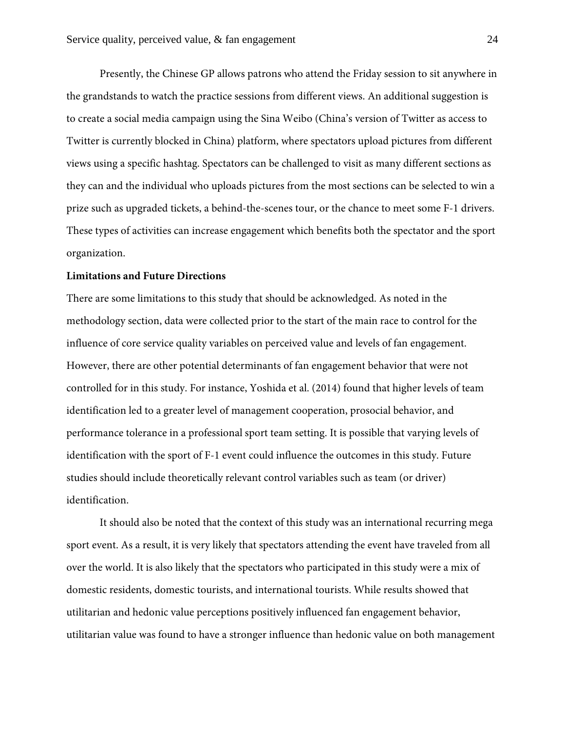Presently, the Chinese GP allows patrons who attend the Friday session to sit anywhere in the grandstands to watch the practice sessions from different views. An additional suggestion is to create a social media campaign using the Sina Weibo (China's version of Twitter as access to Twitter is currently blocked in China) platform, where spectators upload pictures from different views using a specific hashtag. Spectators can be challenged to visit as many different sections as they can and the individual who uploads pictures from the most sections can be selected to win a prize such as upgraded tickets, a behind-the-scenes tour, or the chance to meet some F-1 drivers. These types of activities can increase engagement which benefits both the spectator and the sport organization.

#### **Limitations and Future Directions**

There are some limitations to this study that should be acknowledged. As noted in the methodology section, data were collected prior to the start of the main race to control for the influence of core service quality variables on perceived value and levels of fan engagement. However, there are other potential determinants of fan engagement behavior that were not controlled for in this study. For instance, Yoshida et al. (2014) found that higher levels of team identification led to a greater level of management cooperation, prosocial behavior, and performance tolerance in a professional sport team setting. It is possible that varying levels of identification with the sport of F-1 event could influence the outcomes in this study. Future studies should include theoretically relevant control variables such as team (or driver) identification.

It should also be noted that the context of this study was an international recurring mega sport event. As a result, it is very likely that spectators attending the event have traveled from all over the world. It is also likely that the spectators who participated in this study were a mix of domestic residents, domestic tourists, and international tourists. While results showed that utilitarian and hedonic value perceptions positively influenced fan engagement behavior, utilitarian value was found to have a stronger influence than hedonic value on both management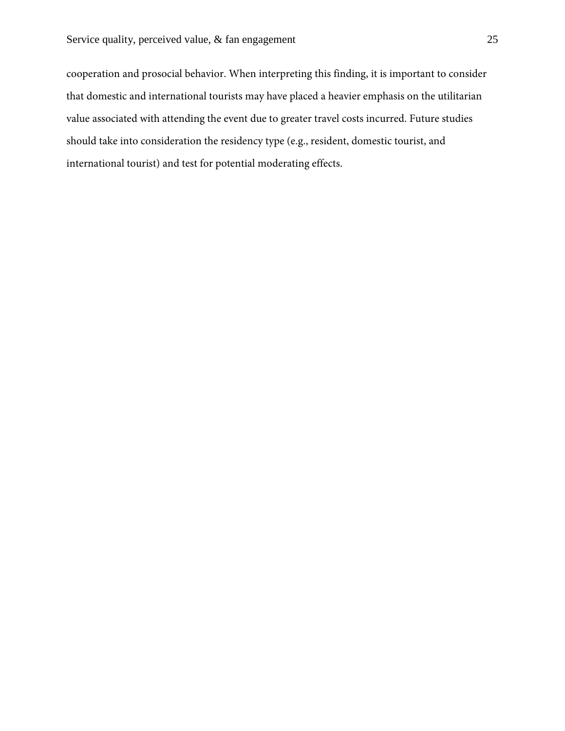cooperation and prosocial behavior. When interpreting this finding, it is important to consider that domestic and international tourists may have placed a heavier emphasis on the utilitarian value associated with attending the event due to greater travel costs incurred. Future studies should take into consideration the residency type (e.g., resident, domestic tourist, and international tourist) and test for potential moderating effects.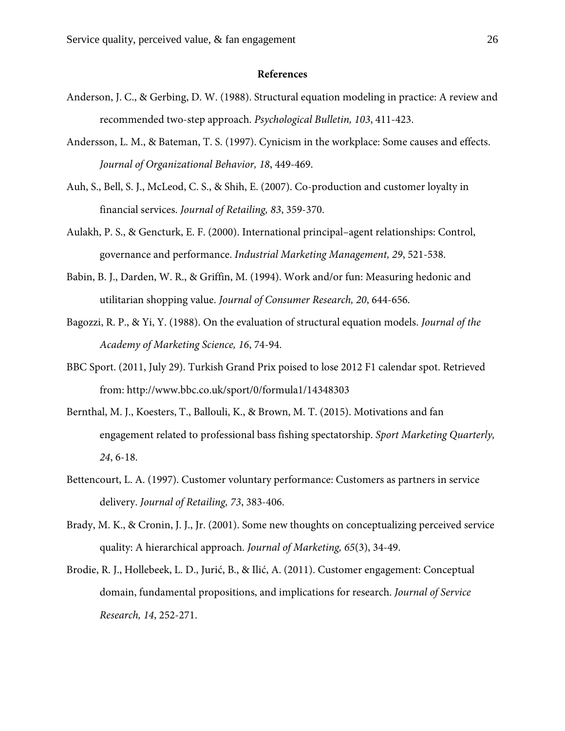#### **References**

- Anderson, J. C., & Gerbing, D. W. (1988). Structural equation modeling in practice: A review and recommended two-step approach. *Psychological Bulletin, 103*, 411-423.
- Andersson, L. M., & Bateman, T. S. (1997). Cynicism in the workplace: Some causes and effects. *Journal of Organizational Behavior, 18*, 449-469.
- Auh, S., Bell, S. J., McLeod, C. S., & Shih, E. (2007). Co-production and customer loyalty in financial services. *Journal of Retailing, 83*, 359-370.
- Aulakh, P. S., & Gencturk, E. F. (2000). International principal–agent relationships: Control, governance and performance. *Industrial Marketing Management, 29*, 521-538.
- Babin, B. J., Darden, W. R., & Griffin, M. (1994). Work and/or fun: Measuring hedonic and utilitarian shopping value. *Journal of Consumer Research, 20*, 644-656.
- Bagozzi, R. P., & Yi, Y. (1988). On the evaluation of structural equation models. *Journal of the Academy of Marketing Science, 16*, 74-94.
- BBC Sport. (2011, July 29). Turkish Grand Prix poised to lose 2012 F1 calendar spot. Retrieved from: http://www.bbc.co.uk/sport/0/formula1/14348303
- Bernthal, M. J., Koesters, T., Ballouli, K., & Brown, M. T. (2015). Motivations and fan engagement related to professional bass fishing spectatorship. *Sport Marketing Quarterly, 24*, 6-18.
- Bettencourt, L. A. (1997). Customer voluntary performance: Customers as partners in service delivery. *Journal of Retailing, 73*, 383-406.
- Brady, M. K., & Cronin, J. J., Jr. (2001). Some new thoughts on conceptualizing perceived service quality: A hierarchical approach. *Journal of Marketing, 65*(3), 34-49.
- Brodie, R. J., Hollebeek, L. D., Jurić, B., & Ilić, A. (2011). Customer engagement: Conceptual domain, fundamental propositions, and implications for research. *Journal of Service Research, 14*, 252-271.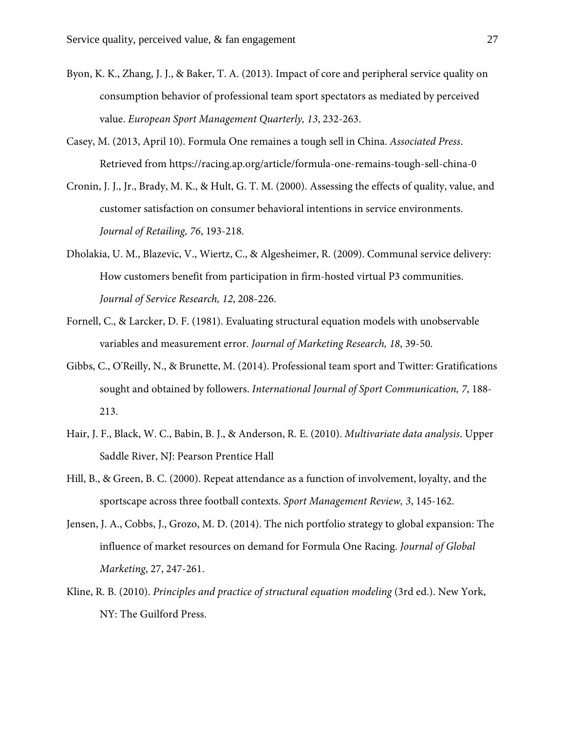- Byon, K. K., Zhang, J. J., & Baker, T. A. (2013). Impact of core and peripheral service quality on consumption behavior of professional team sport spectators as mediated by perceived value. *European Sport Management Quarterly, 13*, 232-263.
- Casey, M. (2013, April 10). Formula One remaines a tough sell in China. *Associated Press*. Retrieved from https://racing.ap.org/article/formula-one-remains-tough-sell-china-0
- Cronin, J. J., Jr., Brady, M. K., & Hult, G. T. M. (2000). Assessing the effects of quality, value, and customer satisfaction on consumer behavioral intentions in service environments. *Journal of Retailing, 76*, 193-218.
- Dholakia, U. M., Blazevic, V., Wiertz, C., & Algesheimer, R. (2009). Communal service delivery: How customers benefit from participation in firm-hosted virtual P3 communities. *Journal of Service Research, 12*, 208-226.
- Fornell, C., & Larcker, D. F. (1981). Evaluating structural equation models with unobservable variables and measurement error. *Journal of Marketing Research, 18*, 39-50.
- Gibbs, C., O'Reilly, N., & Brunette, M. (2014). Professional team sport and Twitter: Gratifications sought and obtained by followers. *International Journal of Sport Communication, 7*, 188- 213.
- Hair, J. F., Black, W. C., Babin, B. J., & Anderson, R. E. (2010). *Multivariate data analysis*. Upper Saddle River, NJ: Pearson Prentice Hall
- Hill, B., & Green, B. C. (2000). Repeat attendance as a function of involvement, loyalty, and the sportscape across three football contexts. *Sport Management Review, 3*, 145-162.
- Jensen, J. A., Cobbs, J., Grozo, M. D. (2014). The nich portfolio strategy to global expansion: The influence of market resources on demand for Formula One Racing. *Journal of Global Marketing*, 27, 247-261.
- Kline, R. B. (2010). *Principles and practice of structural equation modeling* (3rd ed.). New York, NY: The Guilford Press.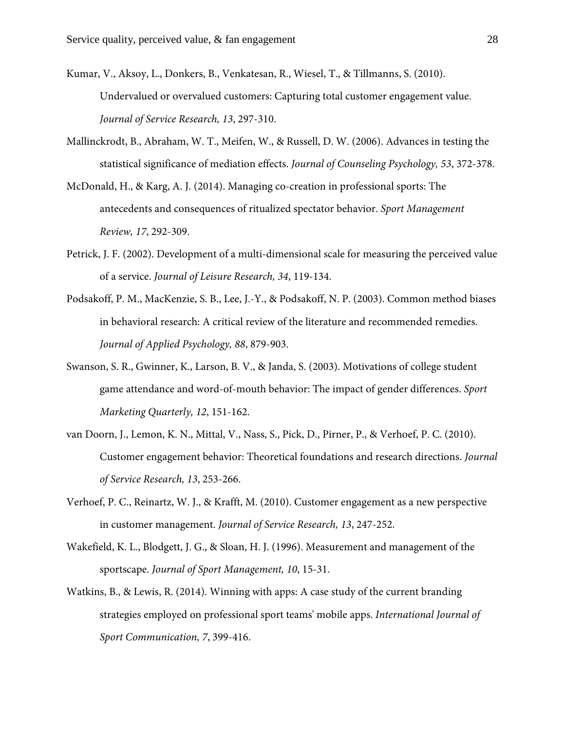- Kumar, V., Aksoy, L., Donkers, B., Venkatesan, R., Wiesel, T., & Tillmanns, S. (2010). Undervalued or overvalued customers: Capturing total customer engagement value. *Journal of Service Research, 13*, 297-310.
- Mallinckrodt, B., Abraham, W. T., Meifen, W., & Russell, D. W. (2006). Advances in testing the statistical significance of mediation effects. *Journal of Counseling Psychology, 53*, 372-378.
- McDonald, H., & Karg, A. J. (2014). Managing co-creation in professional sports: The antecedents and consequences of ritualized spectator behavior. *Sport Management Review, 17*, 292-309.
- Petrick, J. F. (2002). Development of a multi-dimensional scale for measuring the perceived value of a service. *Journal of Leisure Research, 34*, 119-134.
- Podsakoff, P. M., MacKenzie, S. B., Lee, J.-Y., & Podsakoff, N. P. (2003). Common method biases in behavioral research: A critical review of the literature and recommended remedies. *Journal of Applied Psychology, 88*, 879-903.
- Swanson, S. R., Gwinner, K., Larson, B. V., & Janda, S. (2003). Motivations of college student game attendance and word-of-mouth behavior: The impact of gender differences. *Sport Marketing Quarterly, 12*, 151-162.
- van Doorn, J., Lemon, K. N., Mittal, V., Nass, S., Pick, D., Pirner, P., & Verhoef, P. C. (2010). Customer engagement behavior: Theoretical foundations and research directions. *Journal of Service Research, 13*, 253-266.
- Verhoef, P. C., Reinartz, W. J., & Krafft, M. (2010). Customer engagement as a new perspective in customer management. *Journal of Service Research, 13*, 247-252.
- Wakefield, K. L., Blodgett, J. G., & Sloan, H. J. (1996). Measurement and management of the sportscape. *Journal of Sport Management, 10*, 15-31.
- Watkins, B., & Lewis, R. (2014). Winning with apps: A case study of the current branding strategies employed on professional sport teams' mobile apps. *International Journal of Sport Communication, 7*, 399-416.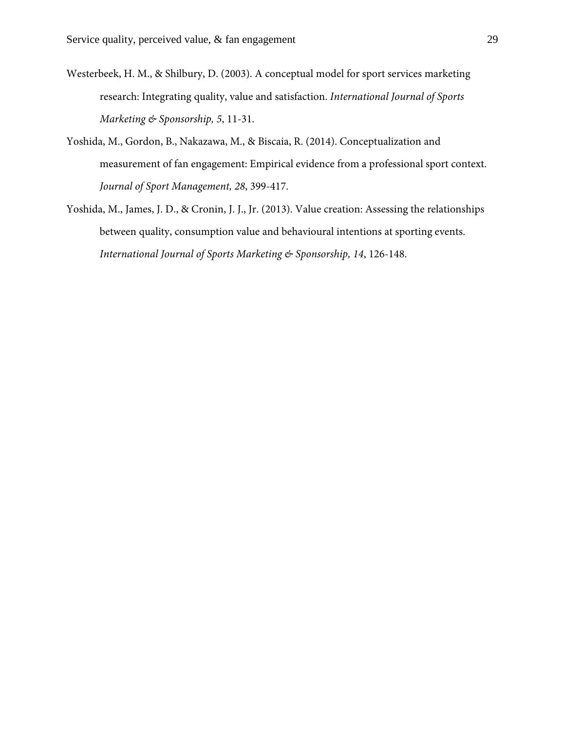- Westerbeek, H. M., & Shilbury, D. (2003). A conceptual model for sport services marketing research: Integrating quality, value and satisfaction. *International Journal of Sports Marketing & Sponsorship, 5*, 11-31.
- Yoshida, M., Gordon, B., Nakazawa, M., & Biscaia, R. (2014). Conceptualization and measurement of fan engagement: Empirical evidence from a professional sport context. *Journal of Sport Management, 28*, 399-417.
- Yoshida, M., James, J. D., & Cronin, J. J., Jr. (2013). Value creation: Assessing the relationships between quality, consumption value and behavioural intentions at sporting events. *International Journal of Sports Marketing & Sponsorship, 14*, 126-148.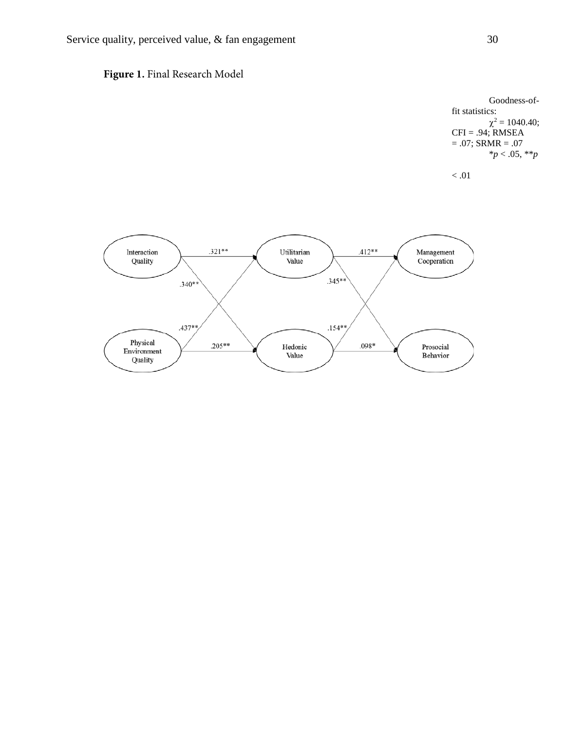

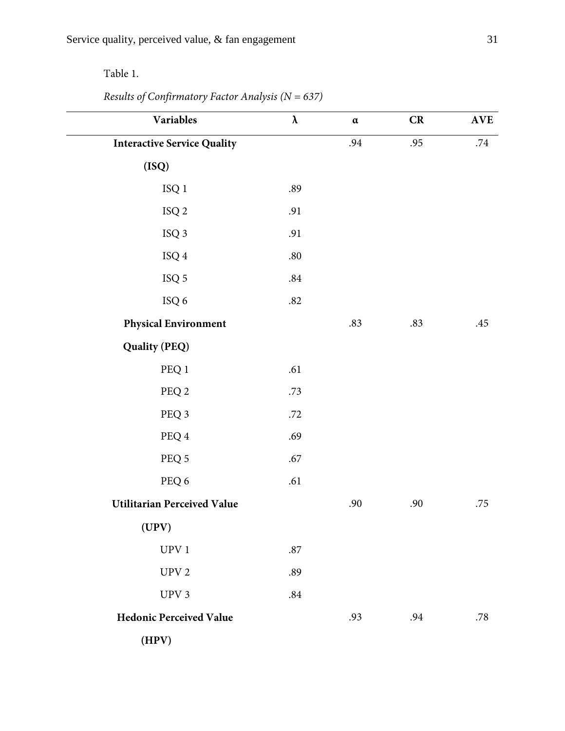# Table 1.

# *Results of Confirmatory Factor Analysis (N = 637)*

| Variables                          | $\pmb{\lambda}$ | $\alpha$ | CR  | <b>AVE</b> |
|------------------------------------|-----------------|----------|-----|------------|
| <b>Interactive Service Quality</b> |                 | .94      | .95 | .74        |
| (ISQ)                              |                 |          |     |            |
| $\rm ISQ$ $1$                      | .89             |          |     |            |
| $\rm ISQ$ 2                        | .91             |          |     |            |
| ISQ 3                              | .91             |          |     |            |
| $\rm{ISQ}$ 4                       | $.80\,$         |          |     |            |
| $\rm{ISQ}$ 5                       | $.84\,$         |          |     |            |
| ISQ 6                              | $.82\,$         |          |     |            |
| <b>Physical Environment</b>        |                 | .83      | .83 | .45        |
| <b>Quality (PEQ)</b>               |                 |          |     |            |
| PEQ 1                              | .61             |          |     |            |
| PEQ 2                              | .73             |          |     |            |
| PEQ 3                              | .72             |          |     |            |
| PEQ 4                              | .69             |          |     |            |
| PEQ 5                              | .67             |          |     |            |
| PEQ 6                              | .61             |          |     |            |
| <b>Utilitarian Perceived Value</b> |                 | .90      | .90 | .75        |
| (UPV)                              |                 |          |     |            |
| UPV1                               | $.87\,$         |          |     |            |
| UPV <sub>2</sub>                   | .89             |          |     |            |
| UPV <sub>3</sub>                   | $.84\,$         |          |     |            |
| <b>Hedonic Perceived Value</b>     |                 | .93      | .94 | .78        |
| (HPV)                              |                 |          |     |            |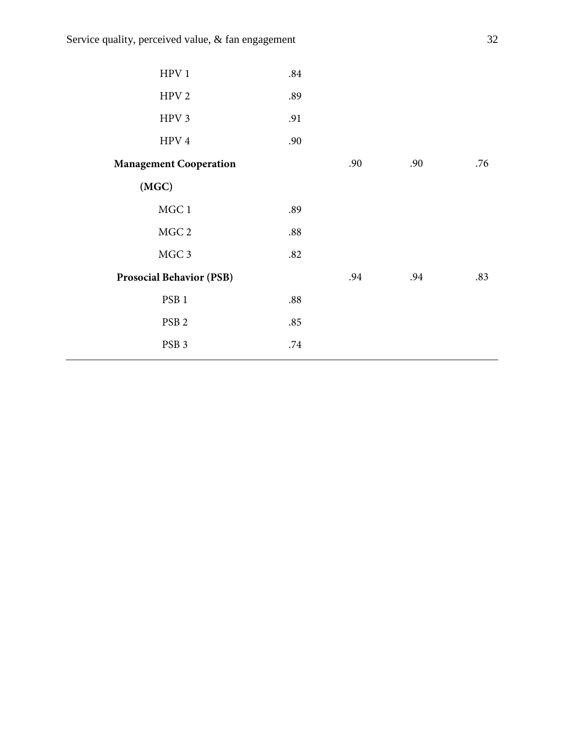| HPV 1                           | .84 |     |     |     |
|---------------------------------|-----|-----|-----|-----|
| HPV <sub>2</sub>                | .89 |     |     |     |
| HPV 3                           | .91 |     |     |     |
| HPV <sub>4</sub>                | .90 |     |     |     |
| <b>Management Cooperation</b>   |     | .90 | .90 | .76 |
| (MGC)                           |     |     |     |     |
| MGC1                            | .89 |     |     |     |
| MGC 2                           | .88 |     |     |     |
| MGC 3                           | .82 |     |     |     |
| <b>Prosocial Behavior (PSB)</b> |     | .94 | .94 | .83 |
| PSB <sub>1</sub>                | .88 |     |     |     |
| PSB <sub>2</sub>                | .85 |     |     |     |
| PSB <sub>3</sub>                | .74 |     |     |     |
|                                 |     |     |     |     |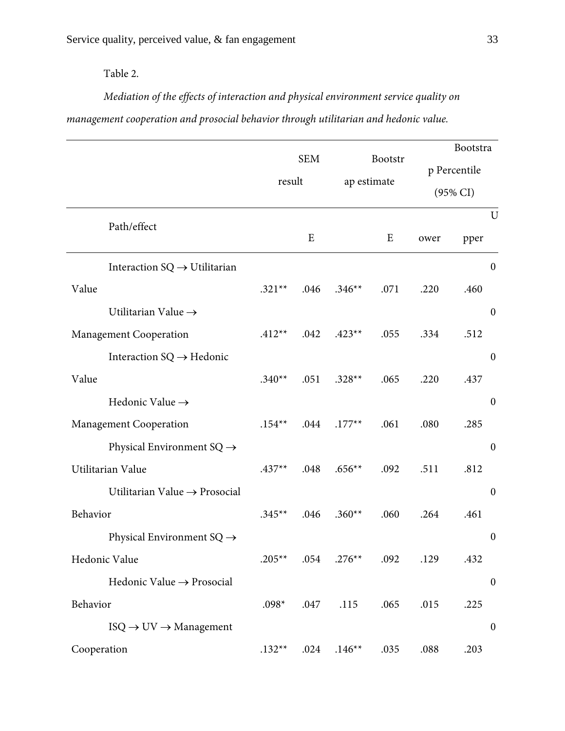Table 2.

*Mediation of the effects of interaction and physical environment service quality on management cooperation and prosocial behavior through utilitarian and hedonic value.*

|                                             |          |            |          |             |      | Bootstra            |
|---------------------------------------------|----------|------------|----------|-------------|------|---------------------|
|                                             |          | <b>SEM</b> |          | Bootstr     |      | p Percentile        |
|                                             | result   |            |          | ap estimate |      | $(95\% \text{ CI})$ |
| Path/effect                                 |          |            |          |             |      | U                   |
|                                             |          | E          |          | E           | ower | pper                |
| Interaction $SQ \rightarrow U$ tilitarian   |          |            |          |             |      | $\boldsymbol{0}$    |
| Value                                       | $.321**$ | .046       | $.346**$ | .071        | .220 | .460                |
| Utilitarian Value $\rightarrow$             |          |            |          |             |      | $\boldsymbol{0}$    |
| Management Cooperation                      | $.412**$ | .042       | $.423**$ | .055        | .334 | .512                |
| Interaction $SQ \rightarrow Hedonic$        |          |            |          |             |      | $\boldsymbol{0}$    |
| Value                                       | $.340**$ | .051       | $.328**$ | .065        | .220 | .437                |
| Hedonic Value $\rightarrow$                 |          |            |          |             |      | $\boldsymbol{0}$    |
| Management Cooperation                      | $.154**$ | .044       | $.177**$ | .061        | .080 | .285                |
| Physical Environment SQ $\rightarrow$       |          |            |          |             |      | $\boldsymbol{0}$    |
| Utilitarian Value                           | $.437**$ | .048       | $.656**$ | .092        | .511 | .812                |
| Utilitarian Value $\rightarrow$ Prosocial   |          |            |          |             |      | $\boldsymbol{0}$    |
| Behavior                                    | $.345**$ | .046       | $.360**$ | .060        | .264 | .461                |
| Physical Environment $SQ \rightarrow$       |          |            |          |             |      | $\boldsymbol{0}$    |
| Hedonic Value                               | $.205**$ | .054       | $.276**$ | .092        | .129 | .432                |
| Hedonic Value $\rightarrow$ Prosocial       |          |            |          |             |      | $\boldsymbol{0}$    |
| Behavior                                    | $.098*$  | .047       | .115     | .065        | .015 | .225                |
| $ISO \rightarrow UV \rightarrow$ Management |          |            |          |             |      | $\boldsymbol{0}$    |
| Cooperation                                 | $.132**$ | .024       | $.146**$ | .035        | .088 | .203                |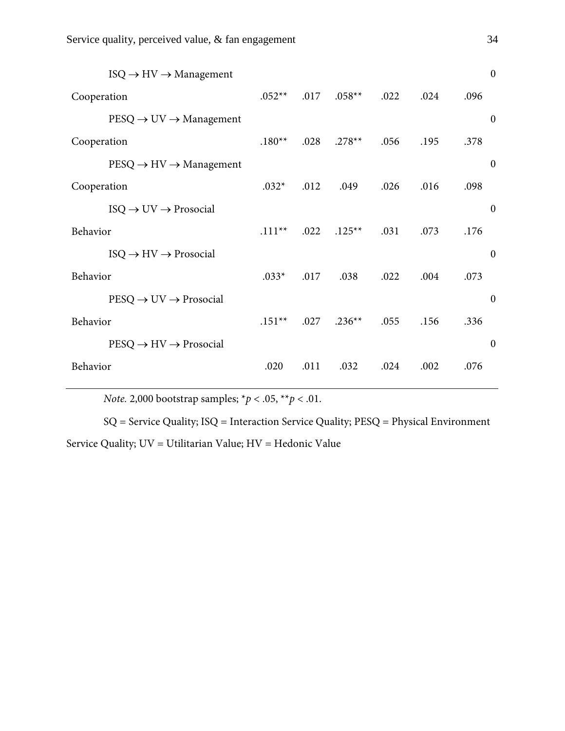| $ISO \rightarrow HV \rightarrow Management$        |           |      |          |      |      |      | $\boldsymbol{0}$ |
|----------------------------------------------------|-----------|------|----------|------|------|------|------------------|
| Cooperation                                        | $.052**$  | .017 | $.058**$ | .022 | .024 | .096 |                  |
| $PESQ \rightarrow UV \rightarrow$ Management       |           |      |          |      |      |      | $\mathbf{0}$     |
| Cooperation                                        | $.180**$  | .028 | $.278**$ | .056 | .195 | .378 |                  |
| $PESQ \rightarrow HV \rightarrow Management$       |           |      |          |      |      |      | $\theta$         |
| Cooperation                                        | $.032*$   | .012 | .049     | .026 | .016 | .098 |                  |
| $ISO \rightarrow UV \rightarrow \text{Prosocial}$  |           |      |          |      |      |      | $\boldsymbol{0}$ |
| Behavior                                           | $.111***$ | .022 | $.125**$ | .031 | .073 | .176 |                  |
| $ISO \rightarrow HV \rightarrow \text{Prosocial}$  |           |      |          |      |      |      | $\boldsymbol{0}$ |
| Behavior                                           | $.033*$   | .017 | .038     | .022 | .004 | .073 |                  |
| $PESQ \rightarrow UV \rightarrow \text{Prosocial}$ |           |      |          |      |      |      | $\overline{0}$   |
| Behavior                                           | $.151**$  | .027 | $.236**$ | .055 | .156 | .336 |                  |
| $PESQ \rightarrow HV \rightarrow \text{Prosocial}$ |           |      |          |      |      |      | $\boldsymbol{0}$ |
| Behavior                                           | .020      | .011 | .032     | .024 | .002 | .076 |                  |
|                                                    |           |      |          |      |      |      |                  |

*Note.* 2,000 bootstrap samples; \**p* < .05, \*\**p* < .01.

SQ = Service Quality; ISQ = Interaction Service Quality; PESQ = Physical Environment Service Quality; UV = Utilitarian Value; HV = Hedonic Value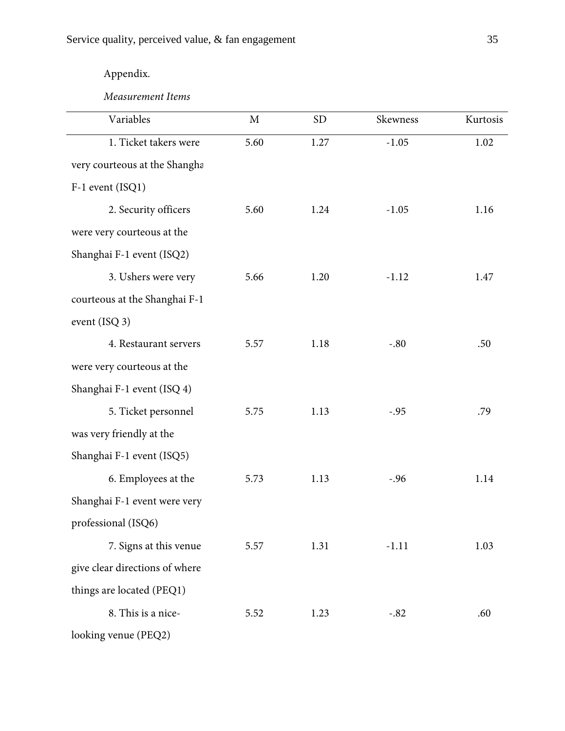# Appendix.

*Measurement Items*

| Variables                      | M    | <b>SD</b> | Skewness | Kurtosis |
|--------------------------------|------|-----------|----------|----------|
| 1. Ticket takers were          | 5.60 | 1.27      | $-1.05$  | 1.02     |
| very courteous at the Shangha  |      |           |          |          |
| F-1 event (ISQ1)               |      |           |          |          |
| 2. Security officers           | 5.60 | 1.24      | $-1.05$  | 1.16     |
| were very courteous at the     |      |           |          |          |
| Shanghai F-1 event (ISQ2)      |      |           |          |          |
| 3. Ushers were very            | 5.66 | 1.20      | $-1.12$  | 1.47     |
| courteous at the Shanghai F-1  |      |           |          |          |
| event (ISQ 3)                  |      |           |          |          |
| 4. Restaurant servers          | 5.57 | 1.18      | $-.80$   | .50      |
| were very courteous at the     |      |           |          |          |
| Shanghai F-1 event (ISQ 4)     |      |           |          |          |
| 5. Ticket personnel            | 5.75 | 1.13      | $-.95$   | .79      |
| was very friendly at the       |      |           |          |          |
| Shanghai F-1 event (ISQ5)      |      |           |          |          |
| 6. Employees at the            | 5.73 | 1.13      | $-.96$   | 1.14     |
| Shanghai F-1 event were very   |      |           |          |          |
| professional (ISQ6)            |      |           |          |          |
| 7. Signs at this venue         | 5.57 | 1.31      | $-1.11$  | 1.03     |
| give clear directions of where |      |           |          |          |
| things are located (PEQ1)      |      |           |          |          |
| 8. This is a nice-             | 5.52 | 1.23      | $-.82$   | .60      |
| looking venue (PEQ2)           |      |           |          |          |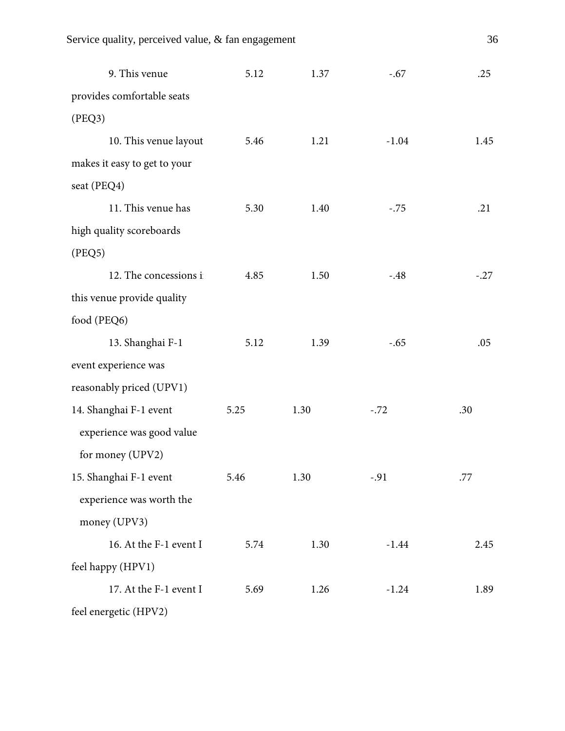| 9. This venue                | 5.12 | 1.37 | $-.67$  | .25    |
|------------------------------|------|------|---------|--------|
| provides comfortable seats   |      |      |         |        |
| (PEQ3)                       |      |      |         |        |
| 10. This venue layout        | 5.46 | 1.21 | $-1.04$ | 1.45   |
| makes it easy to get to your |      |      |         |        |
| seat (PEQ4)                  |      |      |         |        |
| 11. This venue has           | 5.30 | 1.40 | $-.75$  | .21    |
| high quality scoreboards     |      |      |         |        |
| (PEQ5)                       |      |      |         |        |
| 12. The concessions i        | 4.85 | 1.50 | $-.48$  | $-.27$ |
| this venue provide quality   |      |      |         |        |
| food (PEQ6)                  |      |      |         |        |
| 13. Shanghai F-1             | 5.12 | 1.39 | $-.65$  | .05    |
| event experience was         |      |      |         |        |
| reasonably priced (UPV1)     |      |      |         |        |
| 14. Shanghai F-1 event       | 5.25 | 1.30 | $-.72$  | .30    |
| experience was good value    |      |      |         |        |
| for money (UPV2)             |      |      |         |        |
| 15. Shanghai F-1 event       | 5.46 | 1.30 | $-.91$  | .77    |
| experience was worth the     |      |      |         |        |
| money (UPV3)                 |      |      |         |        |
| 16. At the F-1 event I       | 5.74 | 1.30 | $-1.44$ | 2.45   |
| feel happy (HPV1)            |      |      |         |        |
| 17. At the F-1 event I       | 5.69 | 1.26 | $-1.24$ | 1.89   |
| feel energetic (HPV2)        |      |      |         |        |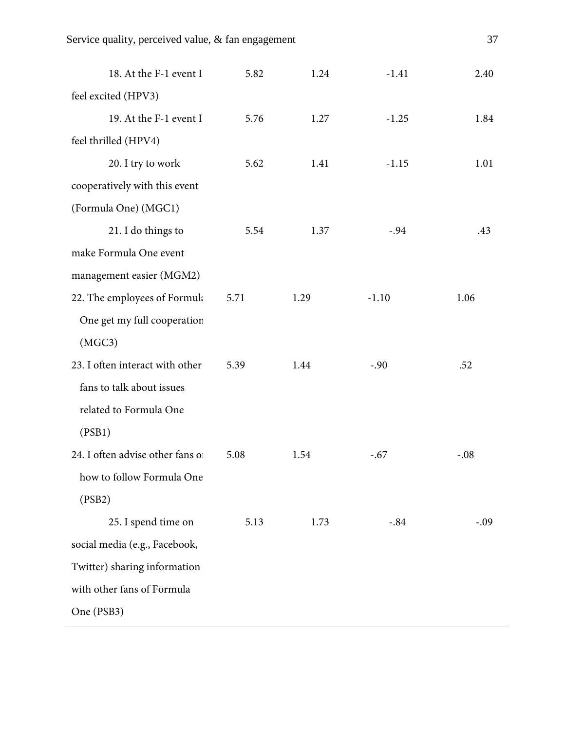| feel excited (HPV3)<br>19. At the F-1 event I<br>5.76<br>1.27<br>$-1.25$<br>1.84<br>feel thrilled (HPV4)<br>20. I try to work<br>5.62<br>1.41<br>$-1.15$<br>1.01<br>cooperatively with this event |
|---------------------------------------------------------------------------------------------------------------------------------------------------------------------------------------------------|
|                                                                                                                                                                                                   |
|                                                                                                                                                                                                   |
|                                                                                                                                                                                                   |
|                                                                                                                                                                                                   |
|                                                                                                                                                                                                   |
| (Formula One) (MGC1)                                                                                                                                                                              |
| 21. I do things to<br>5.54<br>1.37<br>$-.94$<br>.43                                                                                                                                               |
| make Formula One event                                                                                                                                                                            |
| management easier (MGM2)                                                                                                                                                                          |
| 22. The employees of Formula<br>$-1.10$<br>5.71<br>1.29<br>1.06                                                                                                                                   |
| One get my full cooperation                                                                                                                                                                       |
| (MGC3)                                                                                                                                                                                            |
| 23. I often interact with other<br>5.39<br>1.44<br>$-.90$<br>.52                                                                                                                                  |
| fans to talk about issues                                                                                                                                                                         |
| related to Formula One                                                                                                                                                                            |
| (PSB1)                                                                                                                                                                                            |
| 24. I often advise other fans of<br>5.08<br>1.54<br>$-.08$<br>$-.67$                                                                                                                              |
| how to follow Formula One                                                                                                                                                                         |
| (PSB2)                                                                                                                                                                                            |
| 25. I spend time on<br>5.13<br>$-.84$<br>1.73<br>$-.09$                                                                                                                                           |
| social media (e.g., Facebook,                                                                                                                                                                     |
| Twitter) sharing information                                                                                                                                                                      |
| with other fans of Formula                                                                                                                                                                        |
| One (PSB3)                                                                                                                                                                                        |